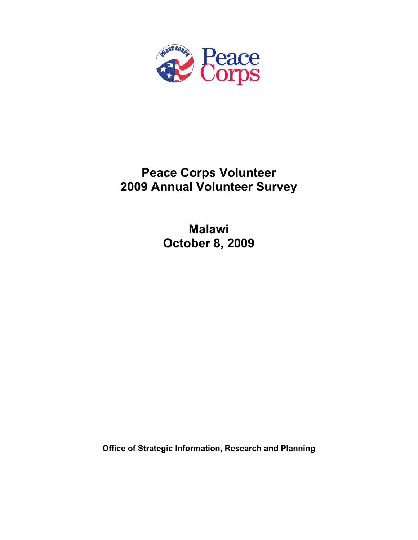

# **Peace Corps Volunteer 2009 Annual Volunteer Survey**

**Malawi October 8, 2009** 

**Office of Strategic Information, Research and Planning**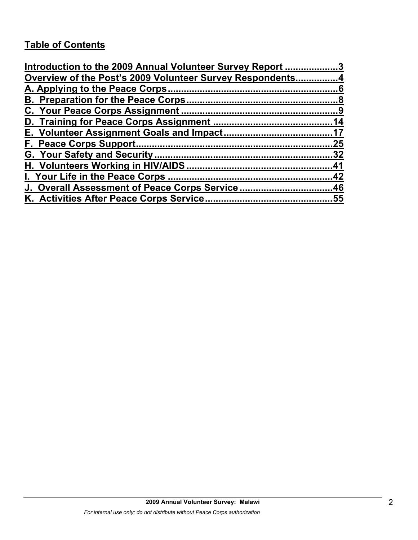# **Table of Contents**

| Introduction to the 2009 Annual Volunteer Survey Report 3 |     |
|-----------------------------------------------------------|-----|
| Overview of the Post's 2009 Volunteer Survey Respondents4 |     |
|                                                           |     |
|                                                           |     |
|                                                           |     |
|                                                           |     |
|                                                           |     |
|                                                           | .25 |
|                                                           |     |
|                                                           |     |
|                                                           |     |
| J. Overall Assessment of Peace Corps Service46            |     |
|                                                           |     |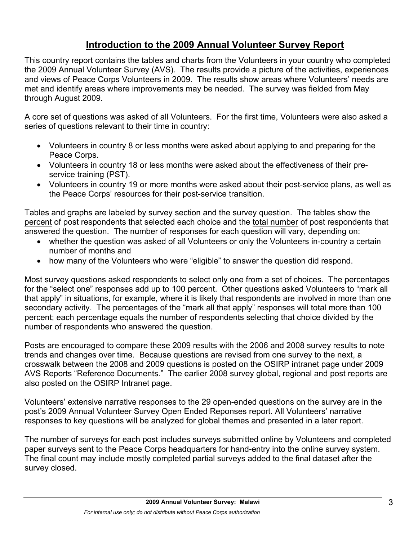# **Introduction to the 2009 Annual Volunteer Survey Report**

This country report contains the tables and charts from the Volunteers in your country who completed the 2009 Annual Volunteer Survey (AVS). The results provide a picture of the activities, experiences and views of Peace Corps Volunteers in 2009. The results show areas where Volunteers' needs are met and identify areas where improvements may be needed. The survey was fielded from May through August 2009.

A core set of questions was asked of all Volunteers. For the first time, Volunteers were also asked a series of questions relevant to their time in country:

- Volunteers in country 8 or less months were asked about applying to and preparing for the Peace Corps.
- Volunteers in country 18 or less months were asked about the effectiveness of their preservice training (PST).
- Volunteers in country 19 or more months were asked about their post-service plans, as well as the Peace Corps' resources for their post-service transition.

Tables and graphs are labeled by survey section and the survey question. The tables show the percent of post respondents that selected each choice and the total number of post respondents that answered the question. The number of responses for each question will vary, depending on:

- whether the question was asked of all Volunteers or only the Volunteers in-country a certain number of months and
- how many of the Volunteers who were "eligible" to answer the question did respond.

Most survey questions asked respondents to select only one from a set of choices. The percentages for the "select one" responses add up to 100 percent. Other questions asked Volunteers to "mark all that apply" in situations, for example, where it is likely that respondents are involved in more than one secondary activity. The percentages of the "mark all that apply" responses will total more than 100 percent; each percentage equals the number of respondents selecting that choice divided by the number of respondents who answered the question.

Posts are encouraged to compare these 2009 results with the 2006 and 2008 survey results to note trends and changes over time. Because questions are revised from one survey to the next, a crosswalk between the 2008 and 2009 questions is posted on the OSIRP intranet page under 2009 AVS Reports "Reference Documents." The earlier 2008 survey global, regional and post reports are also posted on the OSIRP Intranet page.

Volunteers' extensive narrative responses to the 29 open-ended questions on the survey are in the post's 2009 Annual Volunteer Survey Open Ended Reponses report. All Volunteers' narrative responses to key questions will be analyzed for global themes and presented in a later report.

The number of surveys for each post includes surveys submitted online by Volunteers and completed paper surveys sent to the Peace Corps headquarters for hand-entry into the online survey system. The final count may include mostly completed partial surveys added to the final dataset after the survey closed.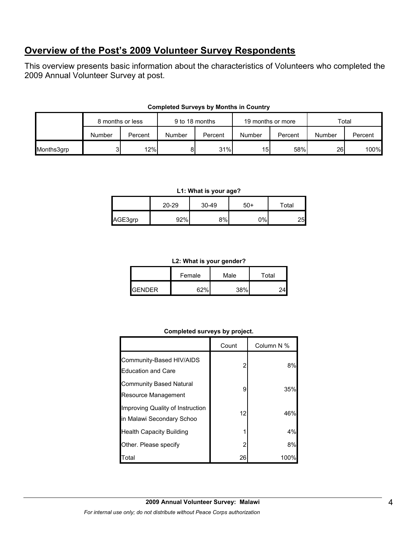# **Overview of the Post's 2009 Volunteer Survey Respondents**

This overview presents basic information about the characteristics of Volunteers who completed the 2009 Annual Volunteer Survey at post.

|            | 8 months or less |         | 9 to 18 months |         | 19 months or more |         | Total  |         |
|------------|------------------|---------|----------------|---------|-------------------|---------|--------|---------|
|            | Number           | Percent | Number         | Percent | Number            | Percent | Number | Percent |
| Months3grp |                  | 12%     | 81             | 31%     | 15 <sup>1</sup>   | 58%     | 26     | 100%    |

#### **Completed Surveys by Months in Country**

#### **L1: What is your age?**

|         | 20-29 | $30 - 49$ | 50+ | Total |  |
|---------|-------|-----------|-----|-------|--|
| AGE3grp | 92%   | 8%        | 0%  | 25    |  |

#### **L2: What is your gender?**

|                |        | -    |       |  |
|----------------|--------|------|-------|--|
|                | Female | Male | Total |  |
| <b>IGENDER</b> | 2つ0/   | 38%  |       |  |

#### **Completed surveys by project.**

|                                                               | Count | Column N % |
|---------------------------------------------------------------|-------|------------|
| Community-Based HIV/AIDS<br><b>Education and Care</b>         | 2     | 8%         |
| <b>Community Based Natural</b><br><b>Resource Management</b>  | 9     | 35%        |
| Improving Quality of Instruction<br>in Malawi Secondary Schoo | 12    | 46%        |
| <b>Health Capacity Building</b>                               |       | 4%         |
| Other. Please specify                                         | 2     | 8%         |
| Гоtal                                                         | 26    | 100%       |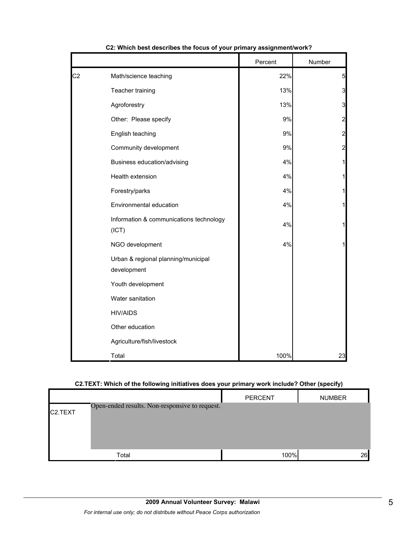|                |                                                    | Percent | Number         |
|----------------|----------------------------------------------------|---------|----------------|
| C <sub>2</sub> | Math/science teaching                              | 22%     | $\overline{5}$ |
|                | Teacher training                                   | 13%     | 3              |
|                | Agroforestry                                       | 13%     | 3              |
|                | Other: Please specify                              | 9%      | $\overline{2}$ |
|                | English teaching                                   | $9\%$   | $\overline{c}$ |
|                | Community development                              | $9\%$   | $\overline{c}$ |
|                | Business education/advising                        | 4%      | 1              |
|                | Health extension                                   | 4%      | $\mathbf{1}$   |
|                | Forestry/parks                                     | 4%      | $\mathbf{1}$   |
|                | Environmental education                            | 4%      | 1              |
|                | Information & communications technology<br>(ICT)   | 4%      | $\mathbf{1}$   |
|                | NGO development                                    | 4%      | $\mathbf{1}$   |
|                | Urban & regional planning/municipal<br>development |         |                |
|                | Youth development                                  |         |                |
|                | Water sanitation                                   |         |                |
|                | <b>HIV/AIDS</b>                                    |         |                |
|                | Other education                                    |         |                |
|                | Agriculture/fish/livestock                         |         |                |
|                | Total                                              | 100%    | 23             |

#### **C2: Which best describes the focus of your primary assignment/work?**

#### **C2.TEXT: Which of the following initiatives does your primary work include? Other (specify)**

|                      |                                                | <b>PERCENT</b> | <b>NUMBER</b> |
|----------------------|------------------------------------------------|----------------|---------------|
| C <sub>2</sub> .TEXT | Open-ended results. Non-responsive to request. |                |               |
|                      |                                                |                |               |
|                      |                                                |                |               |
|                      | Total                                          | 100%           | 26            |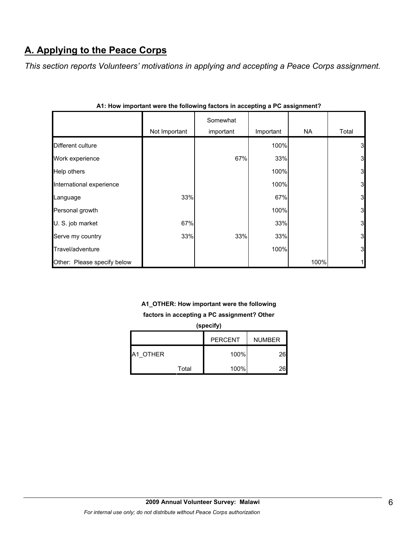# **A. Applying to the Peace Corps**

*This section reports Volunteers' motivations in applying and accepting a Peace Corps assignment.* 

|                             | Not Important | Somewhat<br>important | Important | NA   | Total        |
|-----------------------------|---------------|-----------------------|-----------|------|--------------|
| Different culture           |               |                       | 100%      |      | 3            |
| Work experience             |               | 67%                   | 33%       |      | 3            |
| Help others                 |               |                       | 100%      |      | 3            |
| International experience    |               |                       | 100%      |      | 3            |
| Language                    | 33%           |                       | 67%       |      | 3            |
| Personal growth             |               |                       | 100%      |      | 3            |
| U. S. job market            | 67%           |                       | 33%       |      | 3            |
| Serve my country            | 33%           | 33%                   | 33%       |      | 3            |
| Travel/adventure            |               |                       | 100%      |      | 3            |
| Other: Please specify below |               |                       |           | 100% | $\mathbf{1}$ |

|  |  | A1: How important were the following factors in accepting a PC assignment? |  |  |  |
|--|--|----------------------------------------------------------------------------|--|--|--|

# **A1\_OTHER: How important were the following factors in accepting a PC assignment? Other**

| (specify) |       |                |               |  |
|-----------|-------|----------------|---------------|--|
|           |       | <b>PERCENT</b> | <b>NUMBER</b> |  |
| A1 OTHER  |       | 100%           | 261           |  |
|           | Total | 100%           | 261           |  |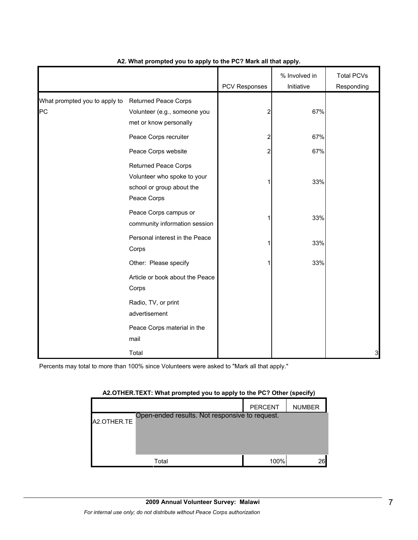|                                     |                                                                                                        | PCV Responses | % Involved in<br>Initiative | <b>Total PCVs</b><br>Responding |
|-------------------------------------|--------------------------------------------------------------------------------------------------------|---------------|-----------------------------|---------------------------------|
| What prompted you to apply to<br>PC | <b>Returned Peace Corps</b><br>Volunteer (e.g., someone you<br>met or know personally                  | 2             | 67%                         |                                 |
|                                     | Peace Corps recruiter                                                                                  | 2             | 67%                         |                                 |
|                                     | Peace Corps website                                                                                    | 2             | 67%                         |                                 |
|                                     | <b>Returned Peace Corps</b><br>Volunteer who spoke to your<br>school or group about the<br>Peace Corps |               | 33%                         |                                 |
|                                     | Peace Corps campus or<br>community information session                                                 |               | 33%                         |                                 |
|                                     | Personal interest in the Peace<br>Corps                                                                |               | 33%                         |                                 |
|                                     | Other: Please specify                                                                                  |               | 33%                         |                                 |
|                                     | Article or book about the Peace<br>Corps                                                               |               |                             |                                 |
|                                     | Radio, TV, or print<br>advertisement                                                                   |               |                             |                                 |
|                                     | Peace Corps material in the<br>mail                                                                    |               |                             |                                 |
|                                     | Total                                                                                                  |               |                             | 3                               |

#### **A2. What prompted you to apply to the PC? Mark all that apply.**

Percents may total to more than 100% since Volunteers were asked to "Mark all that apply."

| $A$ . On the type $A$ , it is not promptly you to apply to the right of the political |                                                |                |               |  |  |
|---------------------------------------------------------------------------------------|------------------------------------------------|----------------|---------------|--|--|
|                                                                                       |                                                | <b>PERCENT</b> | <b>NUMBER</b> |  |  |
| A2.OTHER.TE                                                                           | Open-ended results. Not responsive to request. |                |               |  |  |
|                                                                                       |                                                |                |               |  |  |
|                                                                                       | Total                                          | 100%           | 26            |  |  |

#### **A2.OTHER.TEXT: What prompted you to apply to the PC? Other (specify)**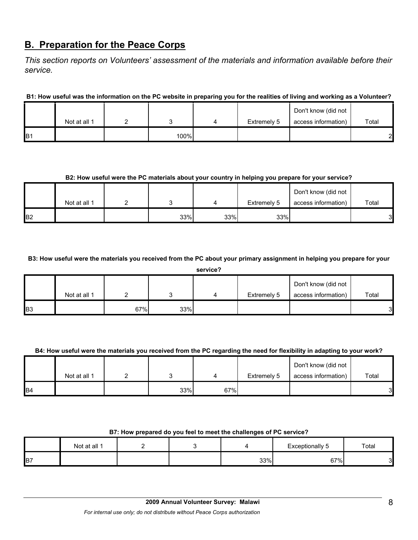# **B. Preparation for the Peace Corps**

*This section reports on Volunteers' assessment of the materials and information available before their service.* 

**B1: How useful was the information on the PC website in preparing you for the realities of living and working as a Volunteer?**

|                |              |      |             | Don't know (did not |       |
|----------------|--------------|------|-------------|---------------------|-------|
|                | Not at all 1 |      | Extremely 5 | access information) | Total |
| B <sub>1</sub> |              | 100% |             |                     | っ     |

#### **B2: How useful were the PC materials about your country in helping you prepare for your service?**

|                |              |     |     |             | Don't know (did not |       |
|----------------|--------------|-----|-----|-------------|---------------------|-------|
|                | Not at all 1 |     |     | Extremely 5 | access information) | Total |
| B <sub>2</sub> |              | 33% | 33% | 33%         |                     | 3     |

**B3: How useful were the materials you received from the PC about your primary assignment in helping you prepare for your** 

|    |              |     |     | service? |             |                     |       |
|----|--------------|-----|-----|----------|-------------|---------------------|-------|
|    |              |     |     |          |             | Don't know (did not |       |
|    | Not at all 1 |     |     |          | Extremely 5 | access information) | Total |
| B3 |              | 67% | 33% |          |             |                     | ◠     |

## **B4: How useful were the materials you received from the PC regarding the need for flexibility in adapting to your work?**

|                 | Not at all 1 |     |     | Extremely 5 | Don't know (did not<br>access information) | Total |
|-----------------|--------------|-----|-----|-------------|--------------------------------------------|-------|
| IB <sub>4</sub> |              | 33% | 67% |             |                                            | 3     |

## **B7: How prepared do you feel to meet the challenges of PC service?**

|                | Not at all 1 |  |     | Exceptionally<br>◡ | Total  |
|----------------|--------------|--|-----|--------------------|--------|
| B <sub>7</sub> |              |  | 33% | 67%                | ົ<br>ັ |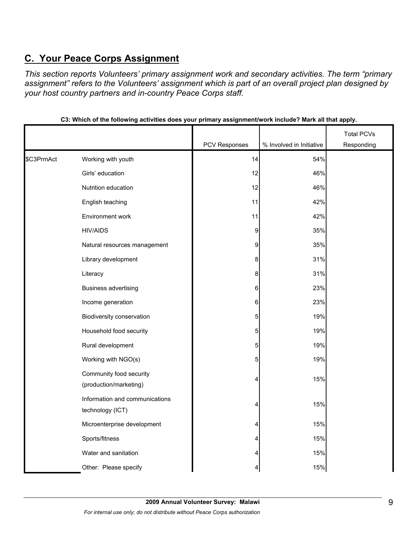# **C. Your Peace Corps Assignment**

*This section reports Volunteers' primary assignment work and secondary activities. The term "primary assignment" refers to the Volunteers' assignment which is part of an overall project plan designed by your host country partners and in-country Peace Corps staff.* 

|            |                                                    |                  |                          | <b>Total PCVs</b> |
|------------|----------------------------------------------------|------------------|--------------------------|-------------------|
|            |                                                    | PCV Responses    | % Involved in Initiative | Responding        |
| \$C3PrmAct | Working with youth                                 | 14               | 54%                      |                   |
|            | Girls' education                                   | 12               | 46%                      |                   |
|            | Nutrition education                                | 12               | 46%                      |                   |
|            | English teaching                                   | 11               | 42%                      |                   |
|            | Environment work                                   | 11               | 42%                      |                   |
|            | <b>HIV/AIDS</b>                                    | $\overline{9}$   | 35%                      |                   |
|            | Natural resources management                       | $\overline{9}$   | 35%                      |                   |
|            | Library development                                | $\boldsymbol{8}$ | 31%                      |                   |
|            | Literacy                                           | $\boldsymbol{8}$ | 31%                      |                   |
|            | <b>Business advertising</b>                        | 6                | 23%                      |                   |
|            | Income generation                                  | $\,6$            | 23%                      |                   |
|            | Biodiversity conservation                          | 5                | 19%                      |                   |
|            | Household food security                            | $\sqrt{5}$       | 19%                      |                   |
|            | Rural development                                  | 5                | 19%                      |                   |
|            | Working with NGO(s)                                | 5                | 19%                      |                   |
|            | Community food security<br>(production/marketing)  | 4                | 15%                      |                   |
|            | Information and communications<br>technology (ICT) | 4                | 15%                      |                   |
|            | Microenterprise development                        | 4                | 15%                      |                   |
|            | Sports/fitness                                     | 4                | 15%                      |                   |
|            | Water and sanitation                               | 4                | 15%                      |                   |
|            | Other: Please specify                              | 4                | 15%                      |                   |

**C3: Which of the following activities does your primary assignment/work include? Mark all that apply.**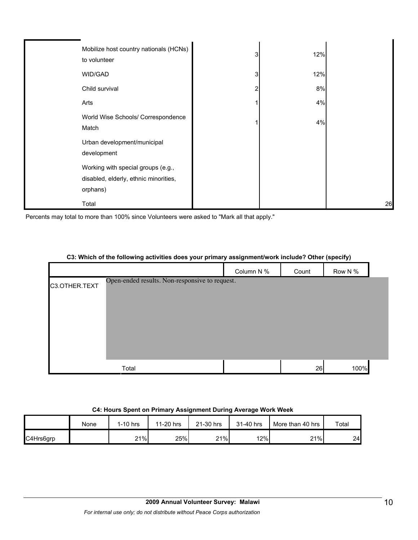| Mobilize host country nationals (HCNs)<br>to volunteer                                  | 3 | 12% |    |
|-----------------------------------------------------------------------------------------|---|-----|----|
| WID/GAD                                                                                 | 3 | 12% |    |
| Child survival                                                                          | 2 | 8%  |    |
| Arts                                                                                    |   | 4%  |    |
| World Wise Schools/ Correspondence<br>Match                                             |   | 4%  |    |
| Urban development/municipal<br>development                                              |   |     |    |
| Working with special groups (e.g.,<br>disabled, elderly, ethnic minorities,<br>orphans) |   |     |    |
| Total                                                                                   |   |     | 26 |

Percents may total to more than 100% since Volunteers were asked to "Mark all that apply."

|               |                                                |            |       | . .<br>$ -$ |  |
|---------------|------------------------------------------------|------------|-------|-------------|--|
|               |                                                | Column N % | Count | Row N %     |  |
| C3.OTHER.TEXT | Open-ended results. Non-responsive to request. |            |       |             |  |
|               | Total                                          |            | 26    | 100%        |  |

#### **C3: Which of the following activities does your primary assignment/work include? Other (specify)**

#### **C4: Hours Spent on Primary Assignment During Average Work Week**

|           | None | $1-10$ hrs | 11-20 hrs | 21-30 hrs | 31-40 hrs | More than 40 hrs | Total |
|-----------|------|------------|-----------|-----------|-----------|------------------|-------|
| C4Hrs6grp |      | 21%        | 25%       | 21%       | 12%       | 21%              | 24    |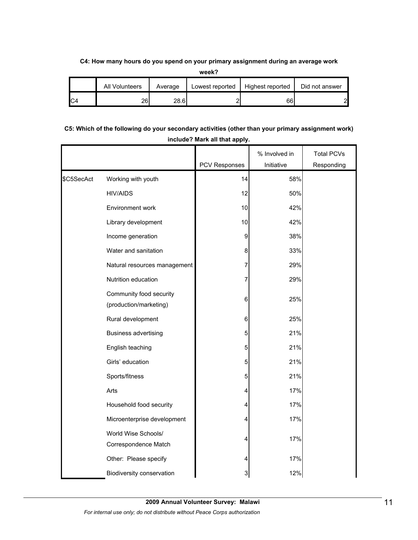#### **C4: How many hours do you spend on your primary assignment during an average work**

**week?**

| All Volunteers | Average | Lowest reported | Highest reported | Did not answer |
|----------------|---------|-----------------|------------------|----------------|
| 26             | 28.6    |                 | 66               | ി              |

## **C5: Which of the following do your secondary activities (other than your primary assignment work) include? Mark all that apply.**

|            |                                                   |               | % Involved in | <b>Total PCVs</b> |
|------------|---------------------------------------------------|---------------|---------------|-------------------|
|            |                                                   | PCV Responses | Initiative    | Responding        |
| \$C5SecAct | Working with youth                                | 14            | 58%           |                   |
|            | <b>HIV/AIDS</b>                                   | 12            | 50%           |                   |
|            | Environment work                                  | 10            | 42%           |                   |
|            | Library development                               | 10            | 42%           |                   |
|            | Income generation                                 | 9             | 38%           |                   |
|            | Water and sanitation                              | 8             | 33%           |                   |
|            | Natural resources management                      | 7             | 29%           |                   |
|            | Nutrition education                               | 7             | 29%           |                   |
|            | Community food security<br>(production/marketing) | 6             | 25%           |                   |
|            | Rural development                                 | 6             | 25%           |                   |
|            | <b>Business advertising</b>                       | 5             | 21%           |                   |
|            | English teaching                                  | 5             | 21%           |                   |
|            | Girls' education                                  | 5             | 21%           |                   |
|            | Sports/fitness                                    | 5             | 21%           |                   |
|            | Arts                                              | 4             | 17%           |                   |
|            | Household food security                           | 4             | 17%           |                   |
|            | Microenterprise development                       | 4             | 17%           |                   |
|            | World Wise Schools/<br>Correspondence Match       | 4             | 17%           |                   |
|            | Other: Please specify                             | 4             | 17%           |                   |
|            | Biodiversity conservation                         | 3             | 12%           |                   |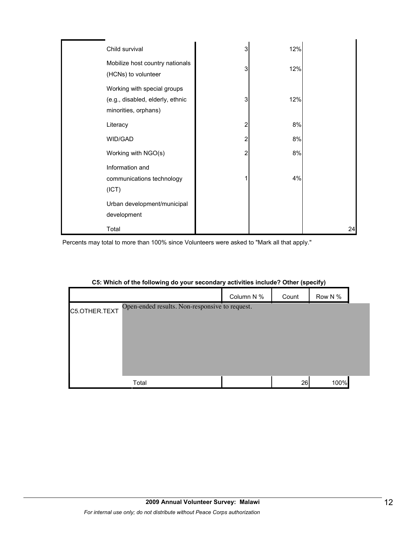| Child survival                                                                          | 3 | 12% |    |
|-----------------------------------------------------------------------------------------|---|-----|----|
| Mobilize host country nationals<br>(HCNs) to volunteer                                  | 3 | 12% |    |
| Working with special groups<br>(e.g., disabled, elderly, ethnic<br>minorities, orphans) | 3 | 12% |    |
| Literacy                                                                                | 2 | 8%  |    |
| WID/GAD                                                                                 | 2 | 8%  |    |
| Working with NGO(s)                                                                     | 2 | 8%  |    |
| Information and<br>communications technology<br>(ICT)                                   |   | 4%  |    |
| Urban development/municipal<br>development                                              |   |     |    |
| Total                                                                                   |   |     | 24 |

Percents may total to more than 100% since Volunteers were asked to "Mark all that apply."

|               | --                                             | -<br>- - -<br>$  -$<br>. | .<br>$\mathbf{v}$ | .       |
|---------------|------------------------------------------------|--------------------------|-------------------|---------|
|               |                                                | Column N %               | Count             | Row N % |
| C5.OTHER.TEXT | Open-ended results. Non-responsive to request. |                          |                   |         |
|               |                                                |                          |                   |         |
|               |                                                |                          |                   |         |
|               |                                                |                          |                   |         |
|               |                                                |                          |                   |         |
|               |                                                |                          |                   |         |
|               | Total                                          |                          | 26                | 100%    |

#### **C5: Which of the following do your secondary activities include? Other (specify)**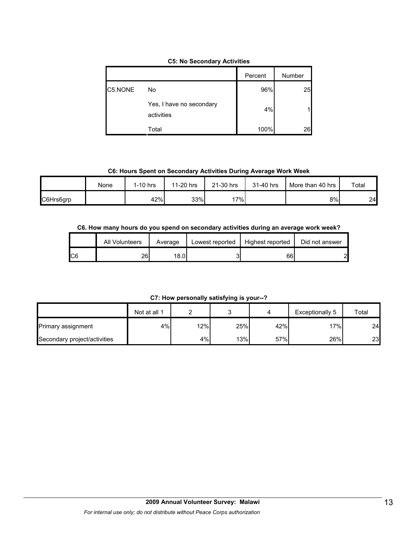|  |  | <b>C5: No Secondary Activities</b> |  |
|--|--|------------------------------------|--|
|--|--|------------------------------------|--|

|         |                                        | Percent | Number |
|---------|----------------------------------------|---------|--------|
| C5.NONE | No                                     | 96%     | 25     |
|         | Yes, I have no secondary<br>activities | 4%      |        |
|         | Total                                  | 100%    | 26     |

**C6: Hours Spent on Secondary Activities During Average Work Week**

|           | None | $1-10$ hrs | 11-20 hrs | 21-30 hrs | 31-40 hrs | More than 40 hrs | Total |
|-----------|------|------------|-----------|-----------|-----------|------------------|-------|
| C6Hrs6grp |      | 42%        | 33%       | 17%       |           | 8%               | 24    |

#### **C6. How many hours do you spend on secondary activities during an average work week?**

|     | All Volunteers | Average | Lowest reported | Highest reported | Did not answer |
|-----|----------------|---------|-----------------|------------------|----------------|
| IC6 | 26             | 18.0    |                 | 66               | 21<br>▃        |

**C7: How personally satisfying is your--?**

|                              | Not at all 1 |     |     |     | Exceptionally 5 | Total |
|------------------------------|--------------|-----|-----|-----|-----------------|-------|
| Primary assignment           | 4%           | 12% | 25% | 42% | 17%             | 24    |
| Secondary project/activities |              | 4%  | 13% | 57% | 26%             | 23    |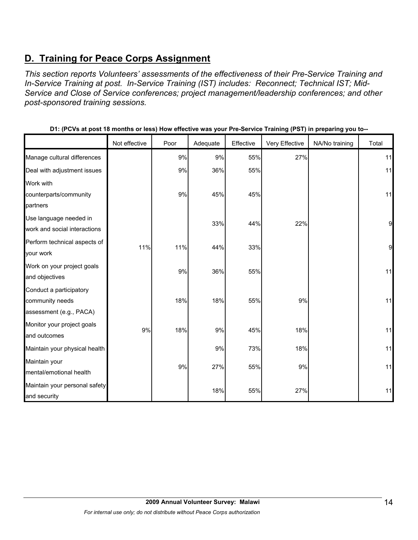# **D. Training for Peace Corps Assignment**

*This section reports Volunteers' assessments of the effectiveness of their Pre-Service Training and In-Service Training at post. In-Service Training (IST) includes: Reconnect; Technical IST; Mid-Service and Close of Service conferences; project management/leadership conferences; and other post-sponsored training sessions.* 

|                               | Not effective | Poor | Adequate | Effective | Very Effective | NA/No training | Total |
|-------------------------------|---------------|------|----------|-----------|----------------|----------------|-------|
| Manage cultural differences   |               | 9%   | 9%       | 55%       | 27%            |                | 11    |
| Deal with adjustment issues   |               | 9%   | 36%      | 55%       |                |                | 11    |
| Work with                     |               |      |          |           |                |                |       |
| counterparts/community        |               | 9%   | 45%      | 45%       |                |                | 11    |
| partners                      |               |      |          |           |                |                |       |
| Use language needed in        |               |      | 33%      | 44%       | 22%            |                | 9     |
| work and social interactions  |               |      |          |           |                |                |       |
| Perform technical aspects of  | 11%           | 11%  | 44%      | 33%       |                |                | 9     |
| your work                     |               |      |          |           |                |                |       |
| Work on your project goals    |               | 9%   | 36%      | 55%       |                |                | 11    |
| and objectives                |               |      |          |           |                |                |       |
| Conduct a participatory       |               |      |          |           |                |                |       |
| community needs               |               | 18%  | 18%      | 55%       | 9%             |                | 11    |
| assessment (e.g., PACA)       |               |      |          |           |                |                |       |
| Monitor your project goals    | 9%            | 18%  | 9%       | 45%       | 18%            |                | 11    |
| and outcomes                  |               |      |          |           |                |                |       |
| Maintain your physical health |               |      | 9%       | 73%       | 18%            |                | 11    |
| Maintain your                 |               |      |          |           |                |                |       |
| mental/emotional health       |               | 9%   | 27%      | 55%       | 9%             |                | 11    |
| Maintain your personal safety |               |      |          |           |                |                |       |
| and security                  |               |      | 18%      | 55%       | 27%            |                | 11    |

**D1: (PCVs at post 18 months or less) How effective was your Pre-Service Training (PST) in preparing you to--**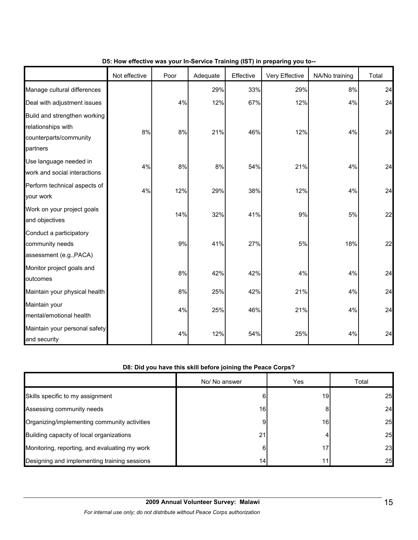|                                                                                          | Not effective | Poor  | Adequate | Effective | Very Effective | NA/No training | Total |
|------------------------------------------------------------------------------------------|---------------|-------|----------|-----------|----------------|----------------|-------|
| Manage cultural differences                                                              |               |       | 29%      | 33%       | 29%            | 8%             | 24    |
| Deal with adjustment issues                                                              |               | 4%    | 12%      | 67%       | 12%            | 4%             | 24    |
| Build and strengthen working<br>relationships with<br>counterparts/community<br>partners | 8%            | 8%    | 21%      | 46%       | 12%            | 4%             | 24    |
| Use language needed in<br>work and social interactions                                   | 4%            | $8\%$ | 8%       | 54%       | 21%            | 4%             | 24    |
| Perform technical aspects of<br>your work                                                | 4%            | 12%   | 29%      | 38%       | 12%            | 4%             | 24    |
| Work on your project goals<br>and objectives                                             |               | 14%   | 32%      | 41%       | 9%             | 5%             | 22    |
| Conduct a participatory<br>community needs<br>assessment (e.g., PACA)                    |               | 9%    | 41%      | 27%       | 5%             | 18%            | 22    |
| Monitor project goals and<br>outcomes                                                    |               | 8%    | 42%      | 42%       | 4%             | 4%             | 24    |
| Maintain your physical health                                                            |               | 8%    | 25%      | 42%       | 21%            | 4%             | 24    |
| Maintain your<br>mental/emotional health                                                 |               | 4%    | 25%      | 46%       | 21%            | 4%             | 24    |
| Maintain your personal safety<br>and security                                            |               | 4%    | 12%      | 54%       | 25%            | 4%             | 24    |

## **D5: How effective was your In-Service Training (IST) in preparing you to--**

## **D8: Did you have this skill before joining the Peace Corps?**

|                                               | No/ No answer | Yes | Total     |
|-----------------------------------------------|---------------|-----|-----------|
| Skills specific to my assignment              | 61            | 19  | 25        |
| Assessing community needs                     | 16            |     | 24        |
| Organizing/implementing community activities  | 9             | 16  | 25        |
| Building capacity of local organizations      | 21            |     | 25        |
| Monitoring, reporting, and evaluating my work | 6             |     | 23        |
| Designing and implementing training sessions  | 14            | 11  | <b>25</b> |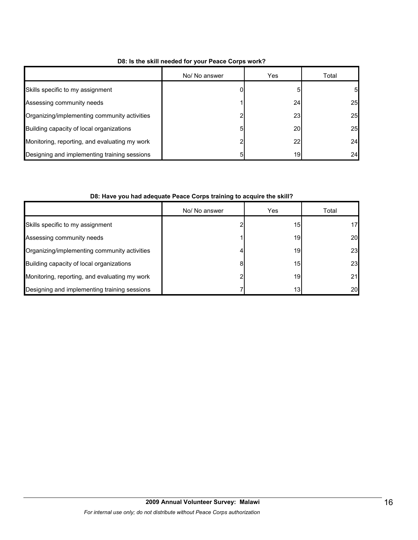|                                               | No/ No answer | Yes       | Total    |
|-----------------------------------------------|---------------|-----------|----------|
| Skills specific to my assignment              |               |           | $5 \mid$ |
| Assessing community needs                     |               | 24        | 25       |
| Organizing/implementing community activities  |               | 23        | 25       |
| Building capacity of local organizations      | 5             | <b>20</b> | 25       |
| Monitoring, reporting, and evaluating my work |               | 22        | 24       |
| Designing and implementing training sessions  | 5             | 19        | 24       |

# **D8: Is the skill needed for your Peace Corps work?**

## **D8: Have you had adequate Peace Corps training to acquire the skill?**

|                                               | No/ No answer | Yes             | Total |
|-----------------------------------------------|---------------|-----------------|-------|
| Skills specific to my assignment              |               | 15 <sup>1</sup> | 17    |
| Assessing community needs                     |               | 19              | 20    |
| Organizing/implementing community activities  |               | 19              | 23    |
| Building capacity of local organizations      | 8             | 15              | 23    |
| Monitoring, reporting, and evaluating my work |               | 19              | 21    |
| Designing and implementing training sessions  |               | 13 <sub>1</sub> | 20    |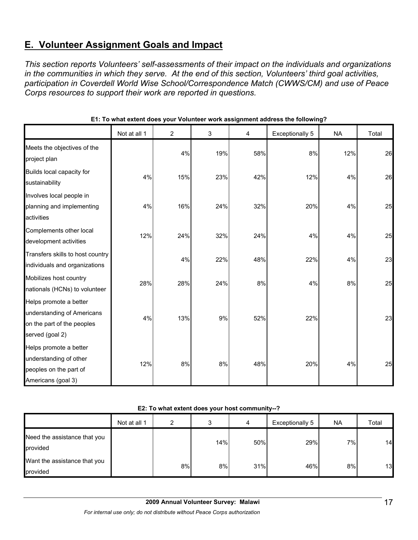# **E. Volunteer Assignment Goals and Impact**

*This section reports Volunteers' self-assessments of their impact on the individuals and organizations in the communities in which they serve. At the end of this section, Volunteers' third goal activities, participation in Coverdell World Wise School/Correspondence Match (CWWS/CM) and use of Peace Corps resources to support their work are reported in questions.* 

|                                                                                                       | Not at all 1 | $\overline{2}$ | 3   | 4   | <b>Exceptionally 5</b> | <b>NA</b> | Total |
|-------------------------------------------------------------------------------------------------------|--------------|----------------|-----|-----|------------------------|-----------|-------|
| Meets the objectives of the<br>project plan                                                           |              | 4%             | 19% | 58% | 8%                     | 12%       | 26    |
| Builds local capacity for<br>sustainability                                                           | 4%           | 15%            | 23% | 42% | 12%                    | 4%        | 26    |
| Involves local people in<br>planning and implementing<br>activities                                   | 4%           | 16%            | 24% | 32% | 20%                    | 4%        | 25    |
| Complements other local<br>development activities                                                     | 12%          | 24%            | 32% | 24% | 4%                     | 4%        | 25    |
| Transfers skills to host country<br>individuals and organizations                                     |              | 4%             | 22% | 48% | 22%                    | 4%        | 23    |
| Mobilizes host country<br>nationals (HCNs) to volunteer                                               | 28%          | 28%            | 24% | 8%  | 4%                     | 8%        | 25    |
| Helps promote a better<br>understanding of Americans<br>on the part of the peoples<br>served (goal 2) | 4%           | 13%            | 9%  | 52% | 22%                    |           | 23    |
| Helps promote a better<br>understanding of other<br>peoples on the part of<br>Americans (goal 3)      | 12%          | 8%             | 8%  | 48% | 20%                    | 4%        | 25    |

#### **E1: To what extent does your Volunteer work assignment address the following?**

#### **E2: To what extent does your host community--?**

|                                          | Not at all 1 | ົ  |     | 4   | Exceptionally 5 | <b>NA</b> | Total |
|------------------------------------------|--------------|----|-----|-----|-----------------|-----------|-------|
| Need the assistance that you<br>provided |              |    | 14% | 50% | 29%             | 7%        | 14    |
| Want the assistance that you<br>provided |              | 8% | 8%  | 31% | 46%             | 8%        | 13    |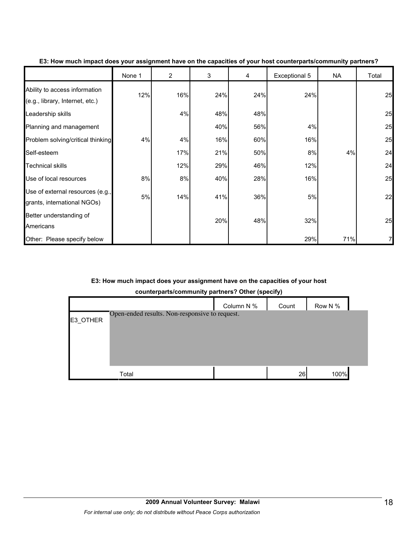|                                                                  | None 1 | $\overline{2}$ | 3   | 4   | Exceptional 5 | <b>NA</b> | Total |
|------------------------------------------------------------------|--------|----------------|-----|-----|---------------|-----------|-------|
| Ability to access information<br>(e.g., library, Internet, etc.) | 12%    | 16%            | 24% | 24% | 24%           |           | 25    |
| Leadership skills                                                |        | 4%             | 48% | 48% |               |           | 25    |
| Planning and management                                          |        |                | 40% | 56% | 4%            |           | 25    |
| Problem solving/critical thinking                                | 4%     | 4%             | 16% | 60% | 16%           |           | 25    |
| Self-esteem                                                      |        | 17%            | 21% | 50% | 8%            | 4%        | 24    |
| <b>Technical skills</b>                                          |        | 12%            | 29% | 46% | 12%           |           | 24    |
| Use of local resources                                           | 8%     | 8%             | 40% | 28% | 16%           |           | 25    |
| Use of external resources (e.g.,<br>grants, international NGOs)  | 5%     | 14%            | 41% | 36% | 5%            |           | 22    |
| Better understanding of<br>Americans                             |        |                | 20% | 48% | 32%           |           | 25    |
| Other: Please specify below                                      |        |                |     |     | 29%           | 71%       |       |

**E3: How much impact does your assignment have on the capacities of your host counterparts/community partners?**

#### **E3: How much impact does your assignment have on the capacities of your host**

**counterparts/community partners? Other (specify)**

|          |                                                | Column N % | Count | Row N % |
|----------|------------------------------------------------|------------|-------|---------|
| E3 OTHER | Open-ended results. Non-responsive to request. |            |       |         |
|          |                                                |            |       |         |
|          |                                                |            |       |         |
|          |                                                |            |       |         |
|          | Total                                          |            | 26    | 100%    |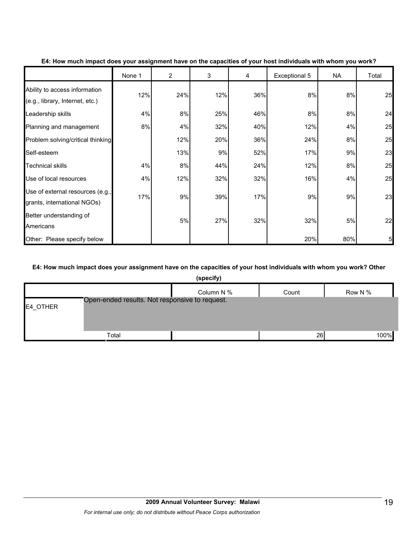|                                                                  | None 1 | $\overline{2}$ | 3   | 4   | Exceptional 5 | NA  | Total |
|------------------------------------------------------------------|--------|----------------|-----|-----|---------------|-----|-------|
| Ability to access information<br>(e.g., library, Internet, etc.) | 12%    | 24%            | 12% | 36% | 8%            | 8%  | 25    |
| Leadership skills                                                | 4%     | 8%             | 25% | 46% | 8%            | 8%  | 24    |
| Planning and management                                          | 8%     | 4%             | 32% | 40% | 12%           | 4%  | 25    |
| Problem solving/critical thinking                                |        | 12%            | 20% | 36% | 24%           | 8%  | 25    |
| Self-esteem                                                      |        | 13%            | 9%  | 52% | 17%           | 9%  | 23    |
| <b>Technical skills</b>                                          | 4%     | 8%             | 44% | 24% | 12%           | 8%  | 25    |
| Use of local resources                                           | 4%     | 12%            | 32% | 32% | 16%           | 4%  | 25    |
| Use of external resources (e.g.,<br>grants, international NGOs)  | 17%    | 9%             | 39% | 17% | 9%            | 9%  | 23    |
| Better understanding of<br>Americans                             |        | 5%             | 27% | 32% | 32%           | 5%  | 22    |
| Other: Please specify below                                      |        |                |     |     | 20%           | 80% | 5     |

#### **E4: How much impact does your assignment have on the capacities of your host individuals with whom you work?**

#### **E4: How much impact does your assignment have on the capacities of your host individuals with whom you work? Other**

|          |                                                | (specify)  |       |         |
|----------|------------------------------------------------|------------|-------|---------|
|          |                                                | Column N % | Count | Row N % |
| E4_OTHER | Open-ended results. Not responsive to request. |            |       |         |
|          |                                                |            |       |         |
|          | Total                                          |            | 26    | 100%    |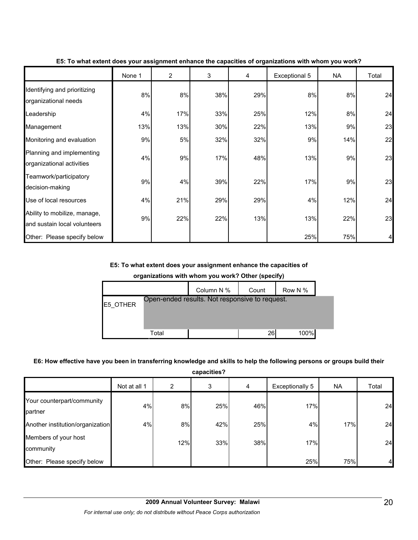|                                                              | None 1 | $\overline{2}$ | 3   | 4   | Exceptional 5 | <b>NA</b> | Total |
|--------------------------------------------------------------|--------|----------------|-----|-----|---------------|-----------|-------|
| Identifying and prioritizing<br>organizational needs         | 8%     | 8%             | 38% | 29% | 8%            | 8%        | 24    |
| Leadership                                                   | 4%     | 17%            | 33% | 25% | 12%           | 8%        | 24    |
| Management                                                   | 13%    | 13%            | 30% | 22% | 13%           | 9%        | 23    |
| Monitoring and evaluation                                    | 9%     | 5%             | 32% | 32% | 9%            | 14%       | 22    |
| Planning and implementing<br>organizational activities       | 4%     | 9%             | 17% | 48% | 13%           | 9%        | 23    |
| Teamwork/participatory<br>decision-making                    | 9%     | 4%             | 39% | 22% | 17%           | 9%        | 23    |
| Use of local resources                                       | 4%     | 21%            | 29% | 29% | 4%            | 12%       | 24    |
| Ability to mobilize, manage,<br>and sustain local volunteers | 9%     | 22%            | 22% | 13% | 13%           | 22%       | 23    |
| Other: Please specify below                                  |        |                |     |     | 25%           | 75%       |       |

**E5: To what extent does your assignment enhance the capacities of organizations with whom you work?**

#### **E5: To what extent does your assignment enhance the capacities of**

**organizations with whom you work? Other (specify)**

|          |       | Column N %                                     | Count | Row N % |  |
|----------|-------|------------------------------------------------|-------|---------|--|
| E5 OTHER |       | Open-ended results. Not responsive to request. |       |         |  |
|          |       |                                                |       |         |  |
|          | Total |                                                | 26    | 100%    |  |

#### **E6: How effective have you been in transferring knowledge and skills to help the following persons or groups build their**

**capacities?**

|                                       | Not at all 1 | 2   | 3   | 4   | Exceptionally 5 | NA  | Total |
|---------------------------------------|--------------|-----|-----|-----|-----------------|-----|-------|
| Your counterpart/community<br>partner | 4%           | 8%  | 25% | 46% | 17%             |     | 24    |
| Another institution/organization      | 4%           | 8%  | 42% | 25% | 4%              | 17% | 24    |
| Members of your host<br>community     |              | 12% | 33% | 38% | 17%             |     | 24    |
| Other: Please specify below           |              |     |     |     | 25%             | 75% | 4     |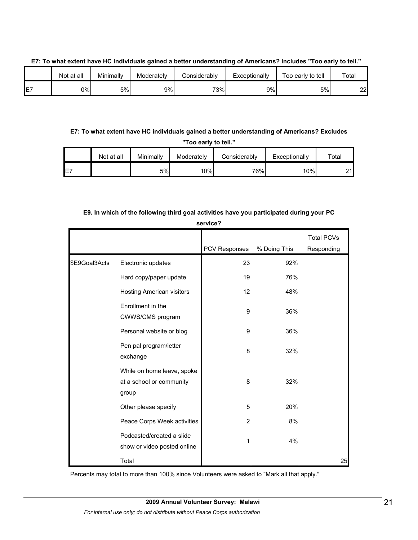|               | Not at all | Minimally | Moderately | Considerablv | Exceptionally | Too early to tell | Total   |
|---------------|------------|-----------|------------|--------------|---------------|-------------------|---------|
| $-$<br>⊢<br>ட | 0%         | 5%        | 9%         | 73%          | 9%            | 5%                | ົ<br>∠∠ |

**E7: To what extent have HC individuals gained a better understanding of Americans? Includes "Too early to tell."**

**E7: To what extent have HC individuals gained a better understanding of Americans? Excludes "Too early to tell."**

|                 | Not at all | Minimally | Moderately | Considerably | Exceptionally | Total |
|-----------------|------------|-----------|------------|--------------|---------------|-------|
| IE <sub>7</sub> |            | 5%        | 10%        | 76%          | 10%           | つイー   |

## **E9. In which of the following third goal activities have you participated during your PC**

**service?**

|               |                                                                 | PCV Responses | % Doing This | <b>Total PCVs</b><br>Responding |
|---------------|-----------------------------------------------------------------|---------------|--------------|---------------------------------|
| \$E9Goal3Acts | Electronic updates                                              | 23            | 92%          |                                 |
|               | Hard copy/paper update                                          | 19            | 76%          |                                 |
|               | Hosting American visitors                                       | 12            | 48%          |                                 |
|               | Enrollment in the<br>CWWS/CMS program                           | 9             | 36%          |                                 |
|               | Personal website or blog                                        | 9             | 36%          |                                 |
|               | Pen pal program/letter<br>exchange                              | 8             | 32%          |                                 |
|               | While on home leave, spoke<br>at a school or community<br>group | 8             | 32%          |                                 |
|               | Other please specify                                            | 5             | 20%          |                                 |
|               | Peace Corps Week activities                                     | 2             | 8%           |                                 |
|               | Podcasted/created a slide<br>show or video posted online        |               | 4%           |                                 |
|               | Total                                                           |               |              | 25                              |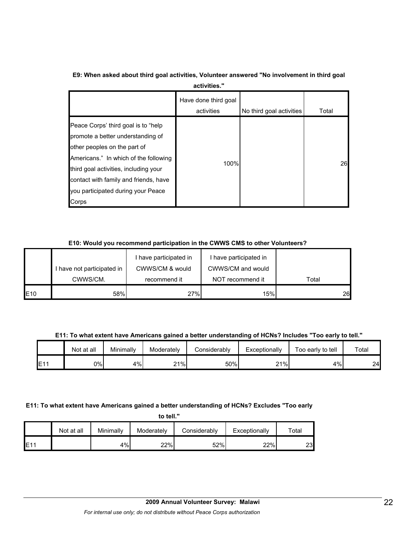| E9: When asked about third goal activities, Volunteer answered "No involvement in third goal |              |  |
|----------------------------------------------------------------------------------------------|--------------|--|
|                                                                                              | activities." |  |

|                                                                                                                                                                                                                                                                                     | Have done third goal<br>activities | No third goal activities | Total |
|-------------------------------------------------------------------------------------------------------------------------------------------------------------------------------------------------------------------------------------------------------------------------------------|------------------------------------|--------------------------|-------|
| Peace Corps' third goal is to "help"<br>promote a better understanding of<br>other peoples on the part of<br>Americans." In which of the following<br>third goal activities, including your<br>contact with family and friends, have<br>you participated during your Peace<br>Corps | 100%                               |                          | 26    |

#### **E10: Would you recommend participation in the CWWS CMS to other Volunteers?**

|             |                            | have participated in | I have participated in |       |
|-------------|----------------------------|----------------------|------------------------|-------|
|             | I have not participated in | CWWS/CM & would      | CWWS/CM and would      |       |
|             | CWWS/CM.                   | recommend it         | NOT recommend it       | Total |
| <b>IE10</b> | 58%                        | 27%                  | 15%                    | 26    |

**E11: To what extent have Americans gained a better understanding of HCNs? Includes "Too early to tell."**

|     | Not at all | Minimallv | Moderately | Considerablv | Exceptionally | Too early to tell | Total |
|-----|------------|-----------|------------|--------------|---------------|-------------------|-------|
| E1' | 0%l        | 4%        | 21%<br>∠ । | 50%          | 21%<br>ا ک    | 4%                | 24    |

#### **E11: To what extent have Americans gained a better understanding of HCNs? Excludes "Too early**

| tell<br>t٥ |  |  |
|------------|--|--|
|------------|--|--|

|     | Not at all | Minimally | Moderately | Considerably | Exceptionally | ™otal |
|-----|------------|-----------|------------|--------------|---------------|-------|
| E11 |            | 4%l       | 22%        | 52%          | 22%           | 231   |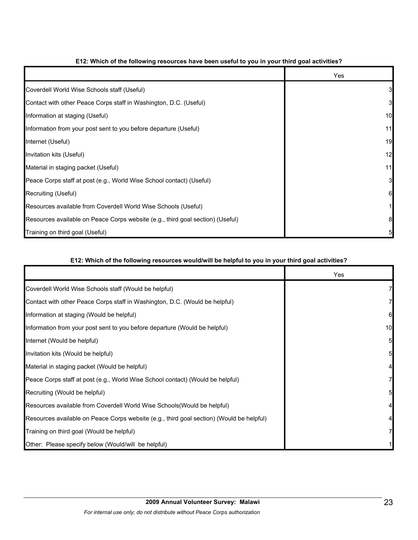|                                                                                | Yes |
|--------------------------------------------------------------------------------|-----|
| Coverdell World Wise Schools staff (Useful)                                    |     |
| Contact with other Peace Corps staff in Washington, D.C. (Useful)              | 3   |
| Information at staging (Useful)                                                | 10  |
| Information from your post sent to you before departure (Useful)               | 11  |
| Internet (Useful)                                                              | 19  |
| Invitation kits (Useful)                                                       | 12  |
| Material in staging packet (Useful)                                            | 11  |
| Peace Corps staff at post (e.g., World Wise School contact) (Useful)           |     |
| Recruiting (Useful)                                                            | 61  |
| Resources available from Coverdell World Wise Schools (Useful)                 |     |
| Resources available on Peace Corps website (e.g., third goal section) (Useful) |     |
| Training on third goal (Useful)                                                |     |

## **E12: Which of the following resources have been useful to you in your third goal activities?**

#### **E12: Which of the following resources would/will be helpful to you in your third goal activities?**

|                                                                                          | <b>Yes</b> |
|------------------------------------------------------------------------------------------|------------|
| Coverdell World Wise Schools staff (Would be helpful)                                    |            |
| Contact with other Peace Corps staff in Washington, D.C. (Would be helpful)              |            |
| Information at staging (Would be helpful)                                                | 6          |
| Information from your post sent to you before departure (Would be helpful)               | 10         |
| Internet (Would be helpful)                                                              | 5          |
| Invitation kits (Would be helpful)                                                       | 5          |
| Material in staging packet (Would be helpful)                                            |            |
| Peace Corps staff at post (e.g., World Wise School contact) (Would be helpful)           |            |
| Recruiting (Would be helpful)                                                            | 5          |
| Resources available from Coverdell World Wise Schools(Would be helpful)                  |            |
| Resources available on Peace Corps website (e.g., third goal section) (Would be helpful) |            |
| Training on third goal (Would be helpful)                                                |            |
| Other: Please specify below (Would/will be helpful)                                      |            |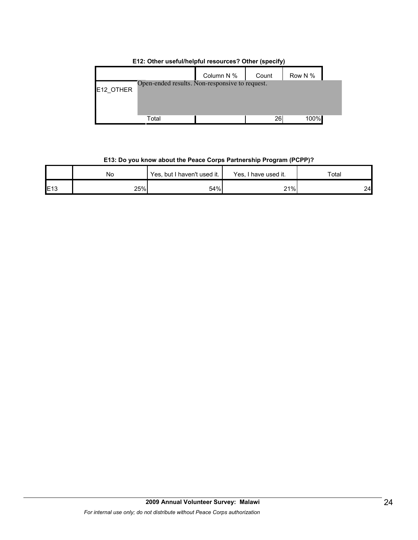|           | $\cdots$ $\cdots$                              |            |       |         |  |  |  |
|-----------|------------------------------------------------|------------|-------|---------|--|--|--|
|           |                                                | Column N % | Count | Row N % |  |  |  |
|           | Open-ended results. Non-responsive to request. |            |       |         |  |  |  |
| E12_OTHER |                                                |            |       |         |  |  |  |
|           |                                                |            |       |         |  |  |  |
|           |                                                |            |       |         |  |  |  |
|           |                                                |            | 26    | 100%    |  |  |  |
|           | Total                                          |            |       |         |  |  |  |

#### **E12: Other useful/helpful resources? Other (specify)**

## **E13: Do you know about the Peace Corps Partnership Program (PCPP)?**

|     | <b>No</b> | Yes, but I haven't used it. | Yes.<br>. I have used it. | $\tau$ otar |  |
|-----|-----------|-----------------------------|---------------------------|-------------|--|
| E13 | 25%       | 54%                         | 21%                       | 24          |  |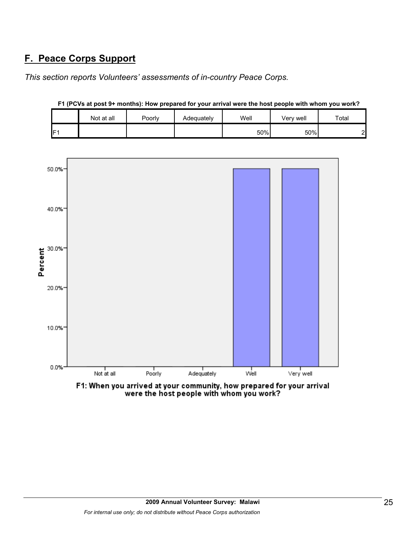# **F. Peace Corps Support**

*This section reports Volunteers' assessments of in-country Peace Corps.* 

|                 | Not at all | Poorly | Adequatelv | Well | Very well | Total  |
|-----------------|------------|--------|------------|------|-----------|--------|
| IF <sub>1</sub> |            |        |            | 50%  | 50%       | ົ<br>▃ |





F1: When you arrived at your community, how prepared for your arrival were the host people with whom you work?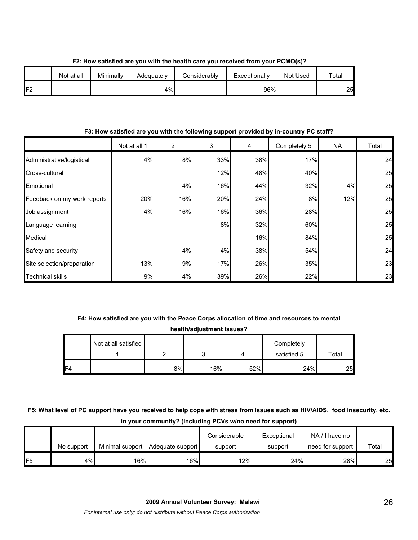|     | Not at all | Minimally | Adeguatelv | Considerably | Exceptionally | Not Used | $\tau$ otal |
|-----|------------|-----------|------------|--------------|---------------|----------|-------------|
| IF2 |            |           | 4%         |              | 96%           |          | 25          |

**F2: How satisfied are you with the health care you received from your PCMO(s)?**

#### **F3: How satisfied are you with the following support provided by in-country PC staff?**

|                             | Not at all 1 | $\overline{2}$ | 3   | 4   | Completely 5 | <b>NA</b> | Total |
|-----------------------------|--------------|----------------|-----|-----|--------------|-----------|-------|
| Administrative/logistical   | 4%           | 8%             | 33% | 38% | 17%          |           | 24    |
| Cross-cultural              |              |                | 12% | 48% | 40%          |           | 25    |
| Emotional                   |              | 4%             | 16% | 44% | 32%          | 4%        | 25    |
| Feedback on my work reports | 20%          | 16%            | 20% | 24% | 8%           | 12%       | 25    |
| Job assignment              | 4%           | 16%            | 16% | 36% | 28%          |           | 25    |
| Language learning           |              |                | 8%  | 32% | 60%          |           | 25    |
| Medical                     |              |                |     | 16% | 84%          |           | 25    |
| Safety and security         |              | 4%             | 4%  | 38% | 54%          |           | 24    |
| Site selection/preparation  | 13%          | 9%             | 17% | 26% | 35%          |           | 23    |
| <b>Technical skills</b>     | 9%           | 4%             | 39% | 26% | 22%          |           | 23    |

# **F4: How satisfied are you with the Peace Corps allocation of time and resources to mental**

**health/adjustment issues?**

|     | Not at all satisfied |    |     |     | Completely  |       |
|-----|----------------------|----|-----|-----|-------------|-------|
|     |                      |    |     |     | satisfied 5 | Total |
| IF4 |                      | 8% | 16% | 52% | 24%         | 25    |

## **F5: What level of PC support have you received to help cope with stress from issues such as HIV/AIDS, food insecurity, etc. in your community? (Including PCVs w/no need for support)**

|     |            |     |                                    | Considerable | Exceptional | NA/I have no     |       |
|-----|------------|-----|------------------------------------|--------------|-------------|------------------|-------|
|     | No support |     | Minimal support   Adequate support | support      | support     | need for support | Total |
| IF5 | 4%         | 16% | 16%                                | 12%          | 24%         | 28%              | 25    |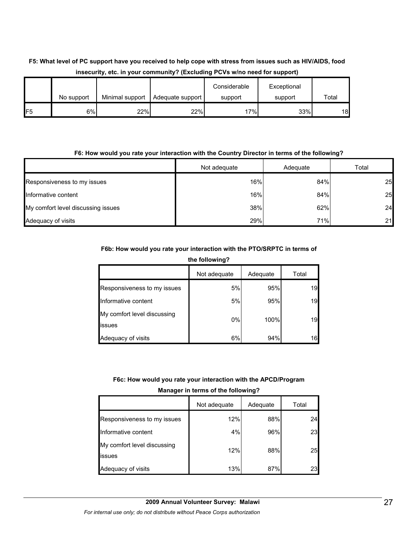|                | mocounty, ctc. in your community: (Excluding FOTS WIND hood for Support) |                 |                  |              |             |       |  |  |
|----------------|--------------------------------------------------------------------------|-----------------|------------------|--------------|-------------|-------|--|--|
|                |                                                                          |                 |                  | Considerable | Exceptional |       |  |  |
|                | No support                                                               | Minimal support | Adequate support | support      | support     | Total |  |  |
| F <sub>5</sub> | 6%                                                                       | 22%             | 22%              | 17%          | 33%         | 18    |  |  |

# **F5: What level of PC support have you received to help cope with stress from issues such as HIV/AIDS, food insecurity, etc. in your community? (Excluding PCVs w/no need for support)**

#### **F6: How would you rate your interaction with the Country Director in terms of the following?**

|                                    | Not adequate | Adequate | Total |
|------------------------------------|--------------|----------|-------|
| Responsiveness to my issues        | 16%          | 84%      | 25    |
| Informative content                | 16%          | 84%      | 25    |
| My comfort level discussing issues | 38%          | 62%      | 24    |
| Adequacy of visits                 | 29%          | 71%      | 21    |

#### **F6b: How would you rate your interaction with the PTO/SRPTC in terms of**

**the following?**

|                                       | Not adequate | Adequate | Total |
|---------------------------------------|--------------|----------|-------|
| Responsiveness to my issues           | 5%           | 95%      | 19    |
| Informative content                   | 5%           | 95%      | 19    |
| My comfort level discussing<br>issues | $0\%$        | 100%     | 19    |
| Adequacy of visits                    | 6%           | 94%      | 16    |

**F6c: How would you rate your interaction with the APCD/Program** 

| Manager in terms of the following? |  |  |  |
|------------------------------------|--|--|--|
|                                    |  |  |  |

|                                       | Not adequate | Adequate | Total |
|---------------------------------------|--------------|----------|-------|
| Responsiveness to my issues           | 12%          | 88%      | 24    |
| Informative content                   | 4%           | 96%      | 23    |
| My comfort level discussing<br>issues | 12%          | 88%      | 25    |
| Adequacy of visits                    | 13%          | 87%      | 23    |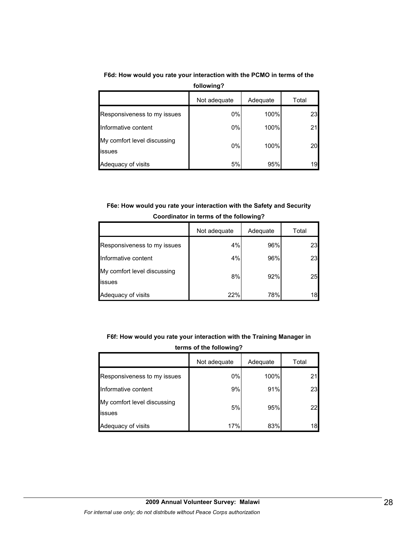**F6d: How would you rate your interaction with the PCMO in terms of the** 

| following?                                   |              |          |       |  |
|----------------------------------------------|--------------|----------|-------|--|
|                                              | Not adequate | Adequate | Total |  |
| Responsiveness to my issues                  | 0%           | 100%     | 23    |  |
| Informative content                          | 0%           | 100%     | 21    |  |
| My comfort level discussing<br><b>issues</b> | 0%           | 100%     | 20    |  |
| Adequacy of visits                           | 5%           | 95%      | 19    |  |

**F6e: How would you rate your interaction with the Safety and Security Coordinator in terms of the following?**

|                                       | Not adequate | Adequate | Total |  |
|---------------------------------------|--------------|----------|-------|--|
| Responsiveness to my issues           | 4%           | 96%      | 23    |  |
| Informative content                   | 4%           | 96%      | 23    |  |
| My comfort level discussing<br>issues | 8%           | 92%      | 25    |  |
| Adequacy of visits                    | 22%          | 78%      | 18    |  |

**F6f: How would you rate your interaction with the Training Manager in** 

**terms of the following?**

|                                        | Not adequate | Adequate | Total |
|----------------------------------------|--------------|----------|-------|
| Responsiveness to my issues            | 0%           | 100%     |       |
| Informative content                    | 9%           | 91%      | 23    |
| My comfort level discussing<br>lissues | 5%           | 95%      | 22    |
| Adequacy of visits                     | 17%          | 83%      | 18    |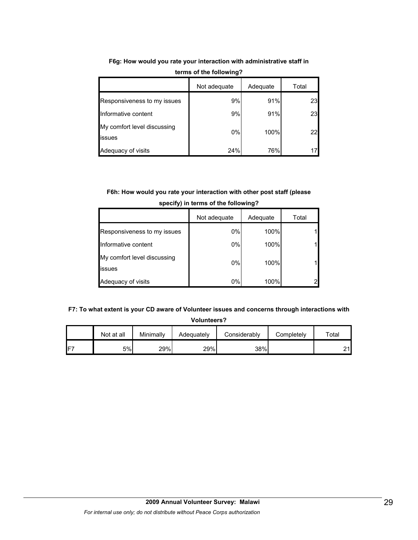|                                       | Not adequate | Adequate | Total |
|---------------------------------------|--------------|----------|-------|
| Responsiveness to my issues           | 9%           | 91%      | 23    |
| Informative content                   | 9%           | 91%      | 23    |
| My comfort level discussing<br>issues | 0%           | 100%     | 22    |
| Adequacy of visits                    | 24%          | 76%      |       |

**F6g: How would you rate your interaction with administrative staff in terms of the following?**

## **F6h: How would you rate your interaction with other post staff (please specify) in terms of the following?**

|                                               | Not adequate | Adequate | Total |
|-----------------------------------------------|--------------|----------|-------|
| Responsiveness to my issues                   | $0\%$        | 100%     |       |
| Informative content                           | 0%           | 100%     |       |
| My comfort level discussing<br><b>lissues</b> | 0%           | 100%     |       |
| Adequacy of visits                            | 0%           | 100%     |       |

#### **F7: To what extent is your CD aware of Volunteer issues and concerns through interactions with**

**Volunteers?**

|     | Not at all | Minimally | Adequately | Considerably | Completely | $\tau$ otal  |
|-----|------------|-----------|------------|--------------|------------|--------------|
| IF7 | 5%         | 29%       | 29%        | 38%          |            | $\mathbf{A}$ |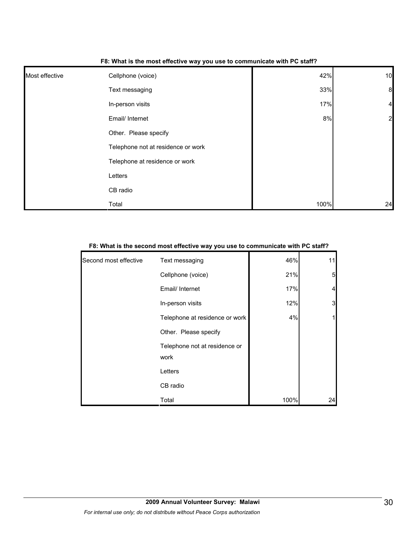| F8: What is the most effective way you use to communicate with PC staff? |
|--------------------------------------------------------------------------|
|                                                                          |

| Most effective | Cellphone (voice)                  | 42%  | 10             |
|----------------|------------------------------------|------|----------------|
|                | Text messaging                     | 33%  | $\mathbf{8}$   |
|                | In-person visits                   | 17%  | $\overline{4}$ |
|                | Email/ Internet                    | 8%   | $\overline{2}$ |
|                | Other. Please specify              |      |                |
|                | Telephone not at residence or work |      |                |
|                | Telephone at residence or work     |      |                |
|                | Letters                            |      |                |
|                | CB radio                           |      |                |
|                | Total                              | 100% | 24             |

| F8: What is the second most effective way you use to communicate with PC staff? |
|---------------------------------------------------------------------------------|
|---------------------------------------------------------------------------------|

| Second most effective | Text messaging                        | 46%  | 11                       |
|-----------------------|---------------------------------------|------|--------------------------|
|                       | Cellphone (voice)                     | 21%  | 5                        |
|                       | Email/ Internet                       | 17%  | $\overline{\mathcal{L}}$ |
|                       | In-person visits                      | 12%  | 3                        |
|                       | Telephone at residence or work        | 4%   | 11                       |
|                       | Other. Please specify                 |      |                          |
|                       | Telephone not at residence or<br>work |      |                          |
|                       | Letters                               |      |                          |
|                       | CB radio                              |      |                          |
|                       | Total                                 | 100% | 24                       |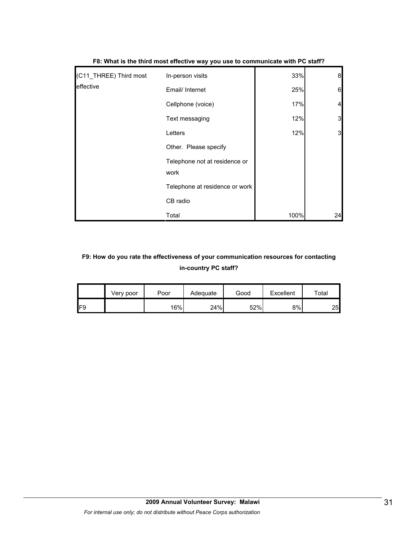| (C11_THREE) Third most | In-person visits                      | 33%  | 8  |
|------------------------|---------------------------------------|------|----|
| effective              | Email/ Internet                       | 25%  | 6  |
|                        | Cellphone (voice)                     | 17%  | 4  |
|                        | Text messaging                        | 12%  | 3  |
|                        | Letters                               | 12%  | 3  |
|                        | Other. Please specify                 |      |    |
|                        | Telephone not at residence or<br>work |      |    |
|                        | Telephone at residence or work        |      |    |
|                        | CB radio                              |      |    |
|                        | Total                                 | 100% | 24 |

**F8: What is the third most effective way you use to communicate with PC staff?**

# **F9: How do you rate the effectiveness of your communication resources for contacting in-country PC staff?**

|     | Very poor | Poor | Adequate | Good | Excellent | $\tau$ otal |
|-----|-----------|------|----------|------|-----------|-------------|
| IF9 |           | 16%  | 24%      | 52%  | 8%        | 25          |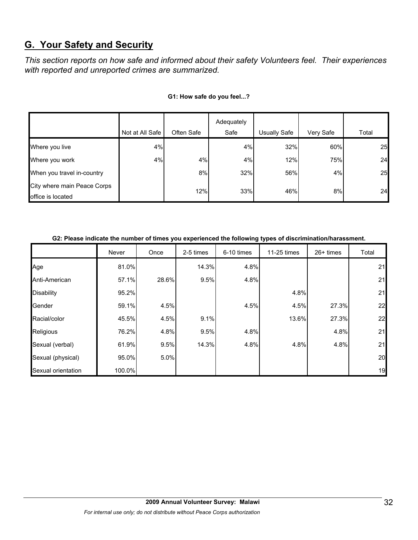# **G. Your Safety and Security**

*This section reports on how safe and informed about their safety Volunteers feel. Their experiences with reported and unreported crimes are summarized.* 

|                                                  | Not at All Safe | Often Safe | Adequately<br>Safe | <b>Usually Safe</b> | Very Safe | Total |
|--------------------------------------------------|-----------------|------------|--------------------|---------------------|-----------|-------|
| Where you live                                   | 4%              |            | 4%                 | 32%                 | 60%       | 25    |
| Where you work                                   | 4%              | 4%         | 4%                 | 12%                 | 75%       | 24    |
| When you travel in-country                       |                 | 8%         | 32%                | 56%                 | 4%        | 25    |
| City where main Peace Corps<br>office is located |                 | 12%        | 33%                | 46%                 | 8%        | 24    |

#### **G1: How safe do you feel...?**

| G2: Please indicate the number of times you experienced the following types of discrimination/harassment. |  |
|-----------------------------------------------------------------------------------------------------------|--|
|                                                                                                           |  |

|                    | Never  | Once  | 2-5 times | 6-10 times | 11-25 times | $26+$ times | Total |
|--------------------|--------|-------|-----------|------------|-------------|-------------|-------|
| Age                | 81.0%  |       | 14.3%     | 4.8%       |             |             | 21    |
| Anti-American      | 57.1%  | 28.6% | 9.5%      | 4.8%       |             |             | 21    |
| <b>Disability</b>  | 95.2%  |       |           |            | 4.8%        |             | 21    |
| Gender             | 59.1%  | 4.5%  |           | 4.5%       | 4.5%        | 27.3%       | 22    |
| Racial/color       | 45.5%  | 4.5%  | 9.1%      |            | 13.6%       | 27.3%       | 22    |
| Religious          | 76.2%  | 4.8%  | 9.5%      | 4.8%       |             | 4.8%        | 21    |
| Sexual (verbal)    | 61.9%  | 9.5%  | 14.3%     | 4.8%       | 4.8%        | 4.8%        | 21    |
| Sexual (physical)  | 95.0%  | 5.0%  |           |            |             |             | 20    |
| Sexual orientation | 100.0% |       |           |            |             |             | 19    |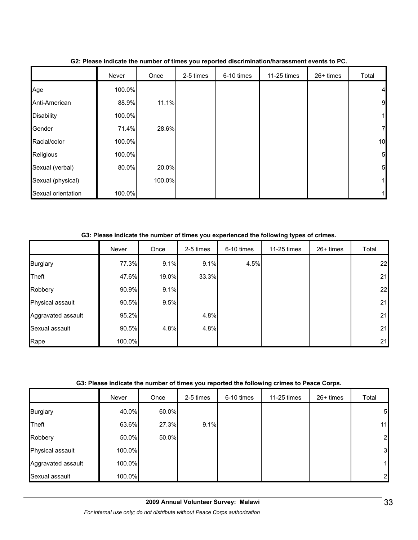|                    | Never  | Once   | 2-5 times | 6-10 times | 11-25 times | 26+ times | Total           |
|--------------------|--------|--------|-----------|------------|-------------|-----------|-----------------|
| Age                | 100.0% |        |           |            |             |           | 4               |
| Anti-American      | 88.9%  | 11.1%  |           |            |             |           | 9               |
| <b>Disability</b>  | 100.0% |        |           |            |             |           | 1               |
| Gender             | 71.4%  | 28.6%  |           |            |             |           | $\overline{7}$  |
| Racial/color       | 100.0% |        |           |            |             |           | 10              |
| Religious          | 100.0% |        |           |            |             |           | $5\overline{a}$ |
| Sexual (verbal)    | 80.0%  | 20.0%  |           |            |             |           | $5\overline{a}$ |
| Sexual (physical)  |        | 100.0% |           |            |             |           | $\mathbf{1}$    |
| Sexual orientation | 100.0% |        |           |            |             |           |                 |

#### **G2: Please indicate the number of times you reported discrimination/harassment events to PC.**

#### **G3: Please indicate the number of times you experienced the following types of crimes.**

|                    | Never  | Once  | 2-5 times | 6-10 times | 11-25 times | 26+ times | Total |
|--------------------|--------|-------|-----------|------------|-------------|-----------|-------|
| <b>Burglary</b>    | 77.3%  | 9.1%  | 9.1%      | 4.5%       |             |           | 22    |
| Theft              | 47.6%  | 19.0% | 33.3%     |            |             |           | 21    |
| Robbery            | 90.9%  | 9.1%  |           |            |             |           | 22    |
| Physical assault   | 90.5%  | 9.5%  |           |            |             |           | 21    |
| Aggravated assault | 95.2%  |       | 4.8%      |            |             |           | 21    |
| Sexual assault     | 90.5%  | 4.8%  | 4.8%      |            |             |           | 21    |
| Rape               | 100.0% |       |           |            |             |           | 21    |

## **G3: Please indicate the number of times you reported the following crimes to Peace Corps.**

|                    | Never  | Once  | 2-5 times | 6-10 times | 11-25 times | 26+ times | Total           |
|--------------------|--------|-------|-----------|------------|-------------|-----------|-----------------|
| <b>Burglary</b>    | 40.0%  | 60.0% |           |            |             |           | $5\overline{a}$ |
| Theft              | 63.6%  | 27.3% | 9.1%      |            |             |           | 11              |
| Robbery            | 50.0%  | 50.0% |           |            |             |           | $\overline{2}$  |
| Physical assault   | 100.0% |       |           |            |             |           | 3               |
| Aggravated assault | 100.0% |       |           |            |             |           | 1               |
| Sexual assault     | 100.0% |       |           |            |             |           | $\mathbf{2}$    |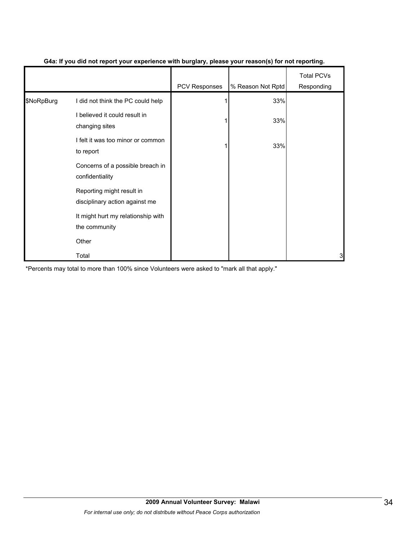|            |                                                             | PCV Responses | % Reason Not Rptd | <b>Total PCVs</b><br>Responding |
|------------|-------------------------------------------------------------|---------------|-------------------|---------------------------------|
| \$NoRpBurg | I did not think the PC could help                           |               | 33%               |                                 |
|            | I believed it could result in<br>changing sites             |               | 33%               |                                 |
|            | I felt it was too minor or common<br>to report              |               | 33%               |                                 |
|            | Concerns of a possible breach in<br>confidentiality         |               |                   |                                 |
|            | Reporting might result in<br>disciplinary action against me |               |                   |                                 |
|            | It might hurt my relationship with<br>the community         |               |                   |                                 |
|            | Other                                                       |               |                   |                                 |
|            | Total                                                       |               |                   | 3                               |

#### **G4a: If you did not report your experience with burglary, please your reason(s) for not reporting.**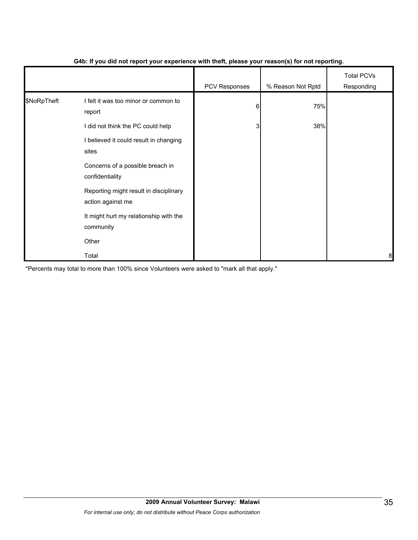|             |                                                                                     | - 1           | $\mathbf{v}$      |                                 |
|-------------|-------------------------------------------------------------------------------------|---------------|-------------------|---------------------------------|
|             |                                                                                     | PCV Responses | % Reason Not Rptd | <b>Total PCVs</b><br>Responding |
| \$NoRpTheft | I felt it was too minor or common to<br>report<br>I did not think the PC could help | 6<br>3        | 75%<br>38%        |                                 |
|             | I believed it could result in changing<br>sites                                     |               |                   |                                 |
|             | Concerns of a possible breach in<br>confidentiality                                 |               |                   |                                 |
|             | Reporting might result in disciplinary<br>action against me                         |               |                   |                                 |
|             | It might hurt my relationship with the<br>community                                 |               |                   |                                 |
|             | Other                                                                               |               |                   |                                 |
|             | Total                                                                               |               |                   | 8                               |

#### **G4b: If you did not report your experience with theft, please your reason(s) for not reporting.**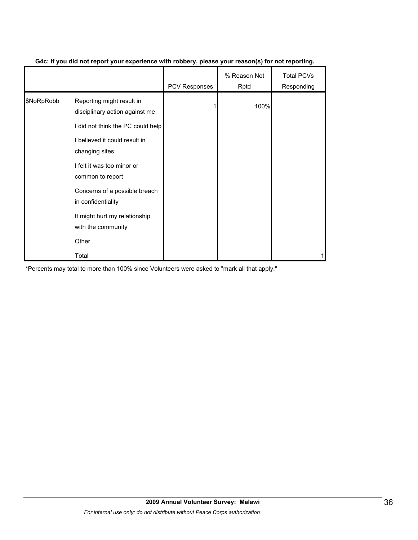|            |                                                             | <b>PCV Responses</b> | % Reason Not<br>Rptd | <b>Total PCVs</b><br>Responding |
|------------|-------------------------------------------------------------|----------------------|----------------------|---------------------------------|
| \$NoRpRobb | Reporting might result in<br>disciplinary action against me |                      | 100%                 |                                 |
|            | I did not think the PC could help                           |                      |                      |                                 |
|            | I believed it could result in<br>changing sites             |                      |                      |                                 |
|            | I felt it was too minor or<br>common to report              |                      |                      |                                 |
|            | Concerns of a possible breach<br>in confidentiality         |                      |                      |                                 |
|            | It might hurt my relationship<br>with the community         |                      |                      |                                 |
|            | Other                                                       |                      |                      |                                 |
|            | Total                                                       |                      |                      |                                 |

## **G4c: If you did not report your experience with robbery, please your reason(s) for not reporting.**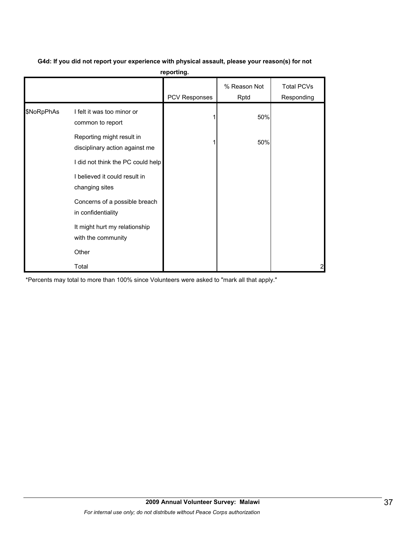|            |                                                             | reporting.    |                      |                                 |
|------------|-------------------------------------------------------------|---------------|----------------------|---------------------------------|
|            |                                                             | PCV Responses | % Reason Not<br>Rptd | <b>Total PCVs</b><br>Responding |
| \$NoRpPhAs | I felt it was too minor or<br>common to report              |               | 50%                  |                                 |
|            | Reporting might result in<br>disciplinary action against me |               | 50%                  |                                 |
|            | I did not think the PC could help                           |               |                      |                                 |
|            | I believed it could result in<br>changing sites             |               |                      |                                 |
|            | Concerns of a possible breach<br>in confidentiality         |               |                      |                                 |
|            | It might hurt my relationship<br>with the community         |               |                      |                                 |
|            | Other                                                       |               |                      |                                 |
|            | Total                                                       |               |                      | 2                               |

#### **G4d: If you did not report your experience with physical assault, please your reason(s) for not reporting.**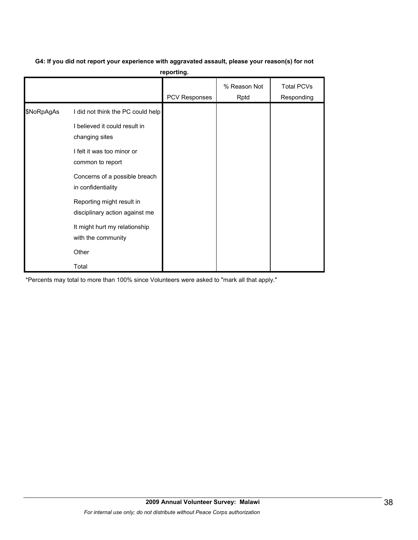# **G4: If you did not report your experience with aggravated assault, please your reason(s) for not**

**reporting.**

|            |                                                             | <b>PCV Responses</b> | % Reason Not<br>Rptd | <b>Total PCVs</b><br>Responding |
|------------|-------------------------------------------------------------|----------------------|----------------------|---------------------------------|
| \$NoRpAgAs | I did not think the PC could help                           |                      |                      |                                 |
|            | I believed it could result in<br>changing sites             |                      |                      |                                 |
|            | I felt it was too minor or<br>common to report              |                      |                      |                                 |
|            | Concerns of a possible breach<br>in confidentiality         |                      |                      |                                 |
|            | Reporting might result in<br>disciplinary action against me |                      |                      |                                 |
|            | It might hurt my relationship<br>with the community         |                      |                      |                                 |
|            | Other                                                       |                      |                      |                                 |
|            | Total                                                       |                      |                      |                                 |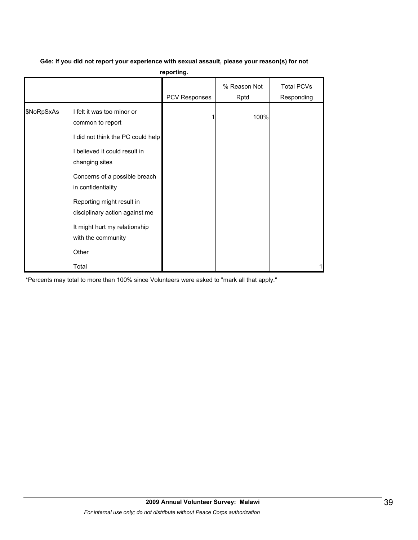|            |                                                                                     | reporting.    |                      |                                 |
|------------|-------------------------------------------------------------------------------------|---------------|----------------------|---------------------------------|
|            |                                                                                     | PCV Responses | % Reason Not<br>Rptd | <b>Total PCVs</b><br>Responding |
| \$NoRpSxAs | I felt it was too minor or<br>common to report<br>I did not think the PC could help |               | 100%                 |                                 |
|            | I believed it could result in<br>changing sites                                     |               |                      |                                 |
|            | Concerns of a possible breach<br>in confidentiality                                 |               |                      |                                 |
|            | Reporting might result in<br>disciplinary action against me                         |               |                      |                                 |
|            | It might hurt my relationship<br>with the community                                 |               |                      |                                 |
|            | Other                                                                               |               |                      |                                 |
|            | Total                                                                               |               |                      | 1                               |

# **G4e: If you did not report your experience with sexual assault, please your reason(s) for not**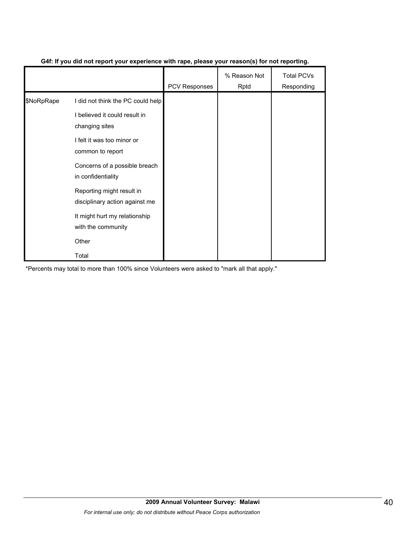|            |                                                             | PCV Responses | % Reason Not<br>Rptd | <b>Total PCVs</b><br>Responding |
|------------|-------------------------------------------------------------|---------------|----------------------|---------------------------------|
| \$NoRpRape | I did not think the PC could help                           |               |                      |                                 |
|            | I believed it could result in<br>changing sites             |               |                      |                                 |
|            | I felt it was too minor or<br>common to report              |               |                      |                                 |
|            | Concerns of a possible breach<br>in confidentiality         |               |                      |                                 |
|            | Reporting might result in<br>disciplinary action against me |               |                      |                                 |
|            | It might hurt my relationship<br>with the community         |               |                      |                                 |
|            | Other                                                       |               |                      |                                 |
|            | Total                                                       |               |                      |                                 |

#### **G4f: If you did not report your experience with rape, please your reason(s) for not reporting.**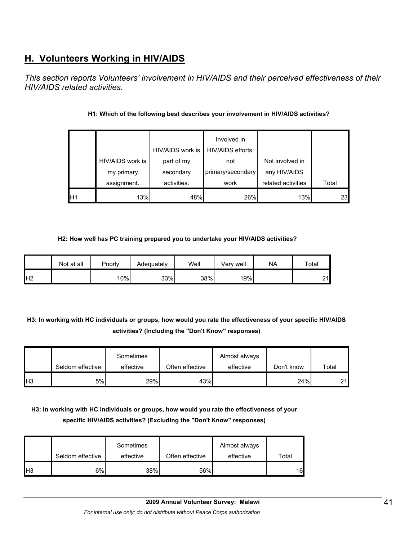# **H. Volunteers Working in HIV/AIDS**

*This section reports Volunteers' involvement in HIV/AIDS and their perceived effectiveness of their HIV/AIDS related activities.* 

|                 |                  |                  | Involved in       |                    |       |
|-----------------|------------------|------------------|-------------------|--------------------|-------|
|                 |                  | HIV/AIDS work is | HIV/AIDS efforts, |                    |       |
|                 | HIV/AIDS work is | part of my       | not               | Not involved in    |       |
|                 | my primary       | secondary        | primary/secondary | any HIV/AIDS       |       |
|                 | assignment.      | activities.      | work              | related activities | Total |
| IH <sub>1</sub> | 13%              | 48%              | 26%               | 13%                | 23    |

## **H1: Which of the following best describes your involvement in HIV/AIDS activities?**

#### **H2: How well has PC training prepared you to undertake your HIV/AIDS activities?**

|                 | Not at all | Poorly | Adequately | Well | Very well | <b>NA</b> | Total   |
|-----------------|------------|--------|------------|------|-----------|-----------|---------|
| IH <sub>2</sub> |            | 10%    | 33%        | 38%  | 19%       |           | 21<br>∼ |

# **H3: In working with HC individuals or groups, how would you rate the effectiveness of your specific HIV/AIDS activities? (Including the "Don't Know" responses)**

|     | Seldom effective | Sometimes<br>effective | Often effective | Almost always<br>effective | Don't know | Total |
|-----|------------------|------------------------|-----------------|----------------------------|------------|-------|
| IH3 | 5%               | 29%                    | 43%             |                            | 24%        | 21    |

# **H3: In working with HC individuals or groups, how would you rate the effectiveness of your specific HIV/AIDS activities? (Excluding the "Don't Know" responses)**

|                | Seldom effective | Sometimes<br>effective | Often effective | Almost always<br>effective | Total |
|----------------|------------------|------------------------|-----------------|----------------------------|-------|
| H <sub>3</sub> | 6%               | 38%                    | 56%             |                            | 16    |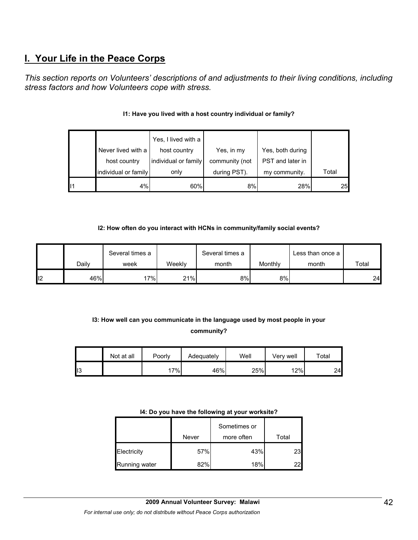# **I. Your Life in the Peace Corps**

*This section reports on Volunteers' descriptions of and adjustments to their living conditions, including stress factors and how Volunteers cope with stress.* 

|    |                      | Yes, I lived with a  |                |                  |       |
|----|----------------------|----------------------|----------------|------------------|-------|
|    | Never lived with a   | host country         | Yes, in my     | Yes, both during |       |
|    | host country         | individual or family | community (not | PST and later in |       |
|    | individual or family | only                 | during PST).   | my community.    | Total |
| 11 | 4%                   | 60%                  | 8%             | 28%              | 25    |

#### **I1: Have you lived with a host country individual or family?**

#### **I2: How often do you interact with HCNs in community/family social events?**

|    |       | Several times a |        | Several times a |         | Less than once a |       |
|----|-------|-----------------|--------|-----------------|---------|------------------|-------|
|    | Dailv | week            | Weekly | month           | Monthly | month            | Total |
| 12 | 46%   | $7\%$           | 21%    | 8%              | 8%      |                  | 24    |

# **I3: How well can you communicate in the language used by most people in your community?**

|     | Not at all | Poorly | Adequately | Well | Verv well | $\tau$ otal |
|-----|------------|--------|------------|------|-----------|-------------|
| 113 |            | 7%     | 46%        | 25%  | 12%       | 24          |

#### **I4: Do you have the following at your worksite?**

|               | Never | Sometimes or<br>more often | Total |
|---------------|-------|----------------------------|-------|
| Electricity   | 57%   | 43%                        | 23I   |
| Running water | 82%   | 18%                        | 221   |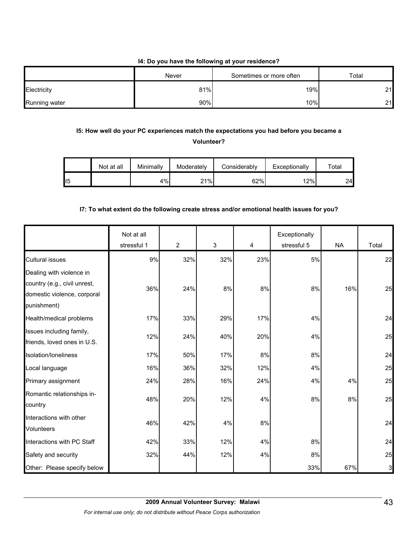#### **I4: Do you have the following at your residence?**

|               | Never | Sometimes or more often | Total |  |
|---------------|-------|-------------------------|-------|--|
| Electricity   | 81%   | 19%                     | 21    |  |
| Running water | 90%   | 10%                     | 21    |  |

## **I5: How well do your PC experiences match the expectations you had before you became a Volunteer?**

|     | Not at all | Minimally | Moderately | Considerably | Exceptionally | $\tau$ otal |
|-----|------------|-----------|------------|--------------|---------------|-------------|
| ll5 |            | 4%        | 21%        | 62%          | 12%           | 24          |

#### **I7: To what extent do the following create stress and/or emotional health issues for you?**

|                              | Not at all<br>stressful 1 | $\overline{2}$ | $\mathbf{3}$ | 4   | Exceptionally<br>stressful 5 | <b>NA</b> | Total |
|------------------------------|---------------------------|----------------|--------------|-----|------------------------------|-----------|-------|
| <b>Cultural issues</b>       | 9%                        | 32%            | 32%          | 23% | 5%                           |           | 22    |
| Dealing with violence in     |                           |                |              |     |                              |           |       |
| country (e.g., civil unrest, | 36%                       | 24%            | 8%           | 8%  | 8%                           | 16%       | 25    |
| domestic violence, corporal  |                           |                |              |     |                              |           |       |
| punishment)                  |                           |                |              |     |                              |           |       |
| Health/medical problems      | 17%                       | 33%            | 29%          | 17% | 4%                           |           | 24    |
| Issues including family,     | 12%                       | 24%            | 40%          | 20% | 4%                           |           | 25    |
| friends, loved ones in U.S.  |                           |                |              |     |                              |           |       |
| Isolation/loneliness         | 17%                       | 50%            | 17%          | 8%  | 8%                           |           | 24    |
| Local language               | 16%                       | 36%            | 32%          | 12% | 4%                           |           | 25    |
| Primary assignment           | 24%                       | 28%            | 16%          | 24% | 4%                           | 4%        | 25    |
| Romantic relationships in-   | 48%                       | 20%            | 12%          | 4%  | 8%                           | 8%        | 25    |
| country                      |                           |                |              |     |                              |           |       |
| Interactions with other      | 46%                       | 42%            | 4%           | 8%  |                              |           | 24    |
| Volunteers                   |                           |                |              |     |                              |           |       |
| Interactions with PC Staff   | 42%                       | 33%            | 12%          | 4%  | 8%                           |           | 24    |
| Safety and security          | 32%                       | 44%            | 12%          | 4%  | 8%                           |           | 25    |
| Other: Please specify below  |                           |                |              |     | 33%                          | 67%       | 3     |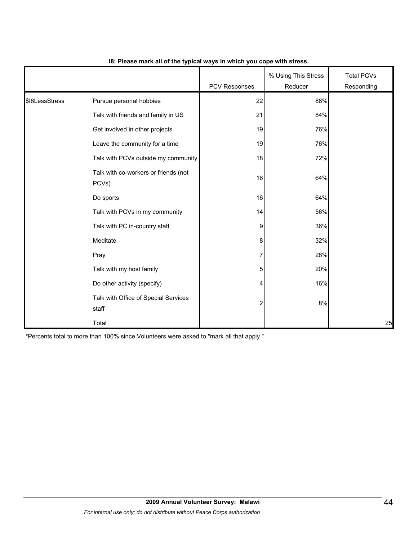|                |                                               | <b>PCV Responses</b>    | % Using This Stress<br>Reducer | <b>Total PCVs</b><br>Responding |
|----------------|-----------------------------------------------|-------------------------|--------------------------------|---------------------------------|
| \$18LessStress | Pursue personal hobbies                       | 22                      | 88%                            |                                 |
|                | Talk with friends and family in US            | 21                      | 84%                            |                                 |
|                | Get involved in other projects                | 19                      | 76%                            |                                 |
|                | Leave the community for a time                | 19                      | 76%                            |                                 |
|                | Talk with PCVs outside my community           | 18                      | 72%                            |                                 |
|                | Talk with co-workers or friends (not<br>PCVs) | 16                      | 64%                            |                                 |
|                | Do sports                                     | 16                      | 64%                            |                                 |
|                | Talk with PCVs in my community                | 14                      | 56%                            |                                 |
|                | Talk with PC in-country staff                 | 9                       | 36%                            |                                 |
|                | Meditate                                      | 8                       | 32%                            |                                 |
|                | Pray                                          | 7                       | 28%                            |                                 |
|                | Talk with my host family                      | 5                       | 20%                            |                                 |
|                | Do other activity (specify)                   | 4                       | 16%                            |                                 |
|                | Talk with Office of Special Services<br>staff | $\overline{\mathbf{c}}$ | 8%                             |                                 |
|                | Total                                         |                         |                                | 25                              |

#### **I8: Please mark all of the typical ways in which you cope with stress.**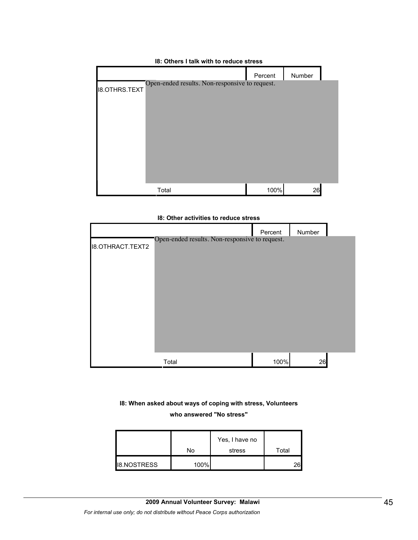# Percent Number I8.OTHRS.TEXT Total 26 Open-ended results. Non-responsive to request.

#### **I8: Others I talk with to reduce stress**

#### **I8: Other activities to reduce stress**

| <b>18.OTHRACT.TEXT2</b> | Open-ended results. Non-responsive to request. | Percent | Number |  |
|-------------------------|------------------------------------------------|---------|--------|--|
|                         | Total                                          | 100%    | 26     |  |

## **I8: When asked about ways of coping with stress, Volunteers**

#### **who answered "No stress"**

|                    | No   | Yes, I have no<br>stress | Total |
|--------------------|------|--------------------------|-------|
| <b>I8.NOSTRESS</b> | 100% |                          | าค    |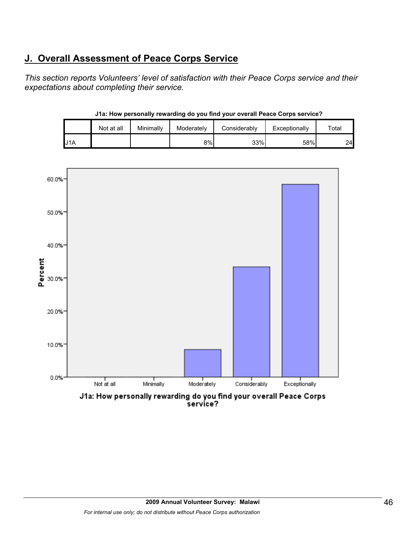# **J. Overall Assessment of Peace Corps Service**

*This section reports Volunteers' level of satisfaction with their Peace Corps service and their expectations about completing their service.* 

|     | Not at all | Minimally | Moderately | Considerablv | Exceptionally | $\tau$ otal |
|-----|------------|-----------|------------|--------------|---------------|-------------|
| J1A |            |           | 8%         | 33%          | 58%           | 24          |

**J1a: How personally rewarding do you find your overall Peace Corps service?**

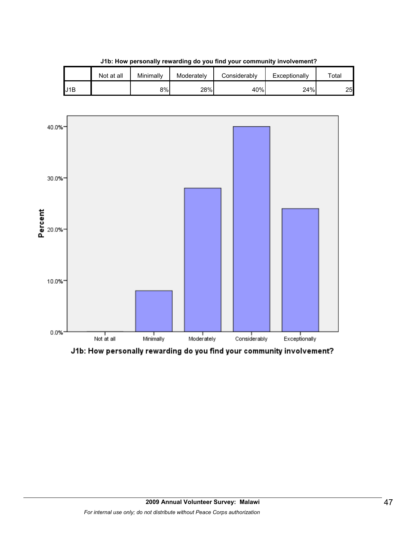|     | Not at all | Minimally | Moderately | Considerablv | Exceptionally | $\tau$ otal |
|-----|------------|-----------|------------|--------------|---------------|-------------|
| J1B |            | 8%        | 28%        | 40%          | 24%           | 25          |

**J1b: How personally rewarding do you find your community involvement?**



J1b: How personally rewarding do you find your community involvement?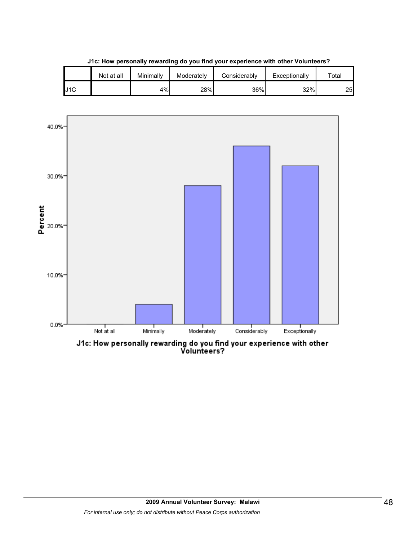|     | Not at all | Minimally | Moderately | Considerablv | Exceptionally | $\tau$ otal |
|-----|------------|-----------|------------|--------------|---------------|-------------|
| J1C |            | 4%        | 28%        | 36%          | 32%           | 25          |

**J1c: How personally rewarding do you find your experience with other Volunteers?**



J1c: How personally rewarding do you find your experience with other<br>Volunteers?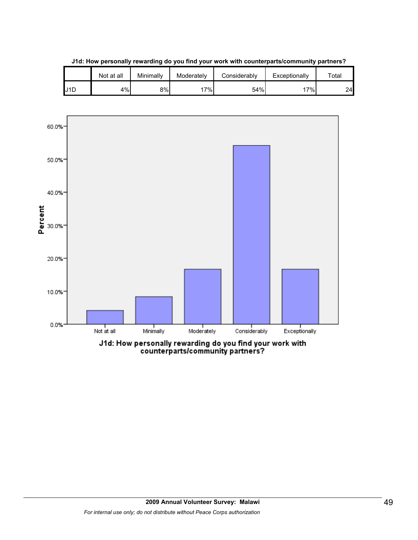

**J1d: How personally rewarding do you find your work with counterparts/community partners?**

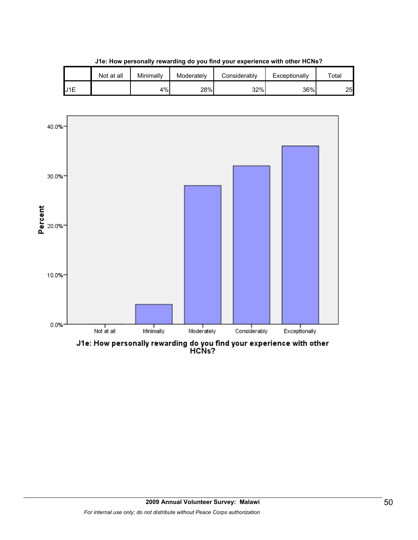

**J1e: How personally rewarding do you find your experience with other HCNs?**

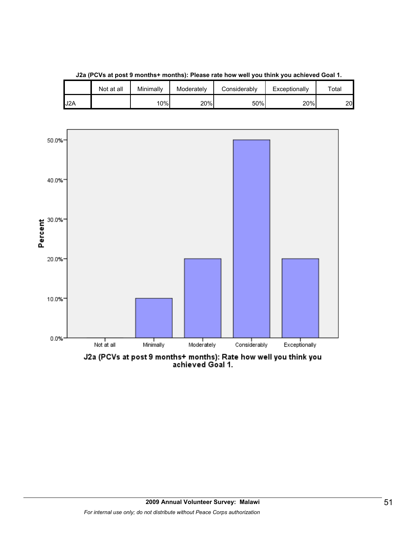

**J2a (PCVs at post 9 months+ months): Please rate how well you think you achieved Goal 1.**

J2A | | 10%| 20%| 50%| 20%| 20

Not at all | Minimally | Moderately | Considerably | Exceptionally | Total

J2a (PCVs at post 9 months+ months): Rate how well you think you<br>achieved Goal 1.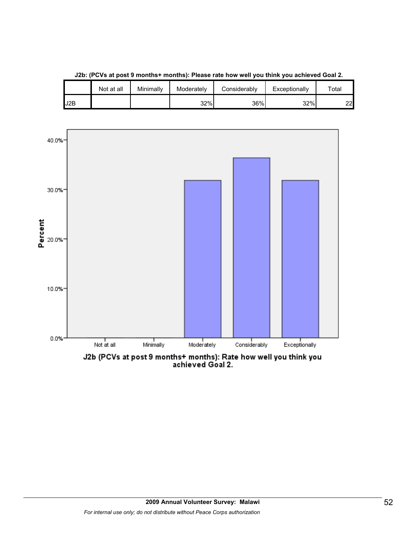



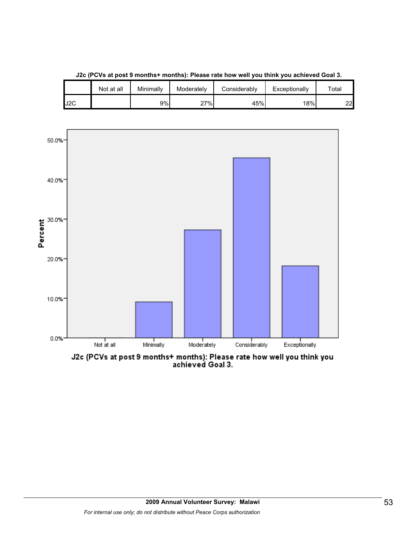

**J2c (PCVs at post 9 months+ months): Please rate how well you think you achieved Goal 3.**

J2C 9% 27% 45% 18% 22

Not at all | Minimally | Moderately | Considerably | Exceptionally | Total

J2c (PCVs at post 9 months+ months): Please rate how well you think you<br>achieved Goal 3.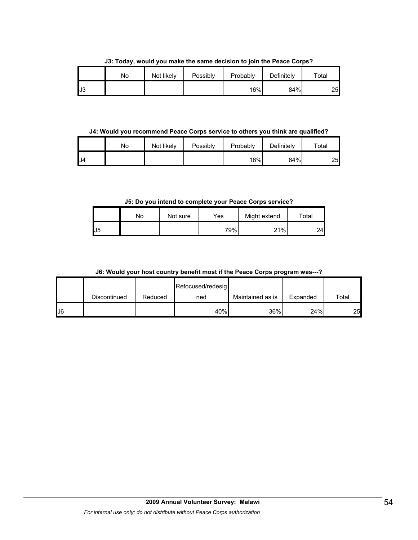**J3: Today, would you make the same decision to join the Peace Corps?**

|          | No | Not likely | Possibly | Probably | Definitely | Total |
|----------|----|------------|----------|----------|------------|-------|
| ю<br>IJ3 |    |            |          | 16%      | 84%        | 25    |

**J4: Would you recommend Peace Corps service to others you think are qualified?**

|     | No | Not likely | Possibly | Probably | Definitely | $\tau$ otal |
|-----|----|------------|----------|----------|------------|-------------|
| .J4 |    |            |          | 16%      | 84%        | 25          |

**J5: Do you intend to complete your Peace Corps service?**

|     | No | Not sure | Yes | Might extend | Total |
|-----|----|----------|-----|--------------|-------|
| IJ5 |    |          | 79% | 21%          | 24    |

**J6: Would your host country benefit most if the Peace Corps program was---?**

|              |              |         | Refocused/redesig |                  |          |       |
|--------------|--------------|---------|-------------------|------------------|----------|-------|
|              | Discontinued | Reduced | ned               | Maintained as is | Expanded | Total |
| $\mathsf{L}$ |              |         | 40%               | 36%              | 24%      | 25    |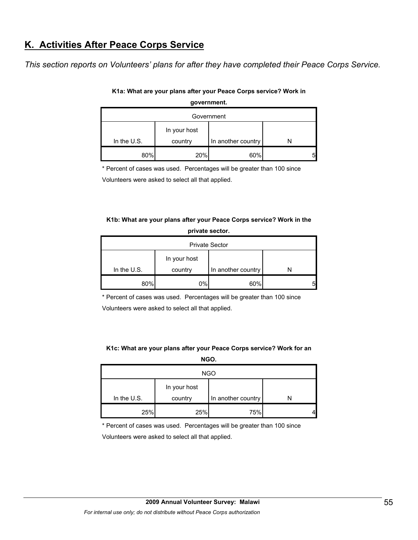# **K. Activities After Peace Corps Service**

*This section reports on Volunteers' plans for after they have completed their Peace Corps Service.*

| Government    |                         |                    |   |  |  |
|---------------|-------------------------|--------------------|---|--|--|
| In the $U.S.$ | In your host<br>country | In another country |   |  |  |
|               |                         |                    |   |  |  |
| 80%           | 20%                     | 60%                | 5 |  |  |

#### **K1a: What are your plans after your Peace Corps service? Work in government.**

\* Percent of cases was used. Percentages will be greater than 100 since

Volunteers were asked to select all that applied.

#### **K1b: What are your plans after your Peace Corps service? Work in the private sector.**

|               |                         | <b>Private Sector</b> |  |  |  |
|---------------|-------------------------|-----------------------|--|--|--|
| In the $U.S.$ | In your host<br>country | In another country    |  |  |  |
| 80%           | 0%                      | 60%                   |  |  |  |

\* Percent of cases was used. Percentages will be greater than 100 since

Volunteers were asked to select all that applied.

#### **K1c: What are your plans after your Peace Corps service? Work for an NGO.**

| <b>NGO</b>    |                         |                    |  |  |  |
|---------------|-------------------------|--------------------|--|--|--|
| In the $U.S.$ | In your host<br>country | In another country |  |  |  |
| 25%           | 25%                     | 75%                |  |  |  |

\* Percent of cases was used. Percentages will be greater than 100 since

Volunteers were asked to select all that applied.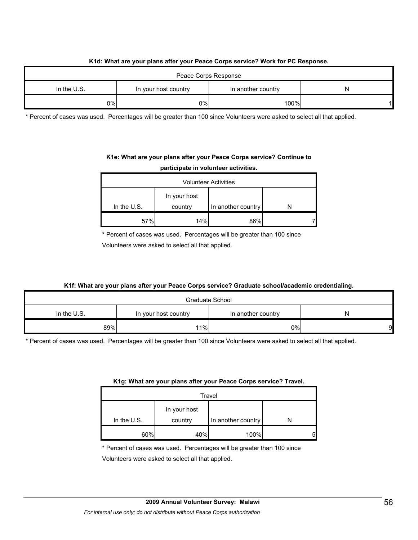#### **K1d: What are your plans after your Peace Corps service? Work for PC Response.**

| Peace Corps Response |                      |                    |   |  |  |
|----------------------|----------------------|--------------------|---|--|--|
| In the $U.S.$        | In your host country | In another country | N |  |  |
| $0\%$                | $0\%$                | 100%               |   |  |  |

\* Percent of cases was used. Percentages will be greater than 100 since Volunteers were asked to select all that applied.

# **K1e: What are your plans after your Peace Corps service? Continue to**

|  | participate in volunteer activities. |  |
|--|--------------------------------------|--|
|--|--------------------------------------|--|

| <b>Volunteer Activities</b> |         |                    |  |  |  |
|-----------------------------|---------|--------------------|--|--|--|
| In your host                |         |                    |  |  |  |
| In the $U.S.$               | country | In another country |  |  |  |
| 57%                         | 14%     | 86%                |  |  |  |

\* Percent of cases was used. Percentages will be greater than 100 since

Volunteers were asked to select all that applied.

#### **K1f: What are your plans after your Peace Corps service? Graduate school/academic credentialing.**

| Graduate School |                      |                    |   |  |  |
|-----------------|----------------------|--------------------|---|--|--|
| In the $U.S.$   | In your host country | In another country | N |  |  |
| 89%             | 11%                  | 0%                 | 9 |  |  |

\* Percent of cases was used. Percentages will be greater than 100 since Volunteers were asked to select all that applied.

#### **K1g: What are your plans after your Peace Corps service? Travel.**

| Travel        |              |                    |  |
|---------------|--------------|--------------------|--|
|               | In your host |                    |  |
| In the $U.S.$ | country      | In another country |  |
| 60%           | 40%          | 100%               |  |

\* Percent of cases was used. Percentages will be greater than 100 since

Volunteers were asked to select all that applied.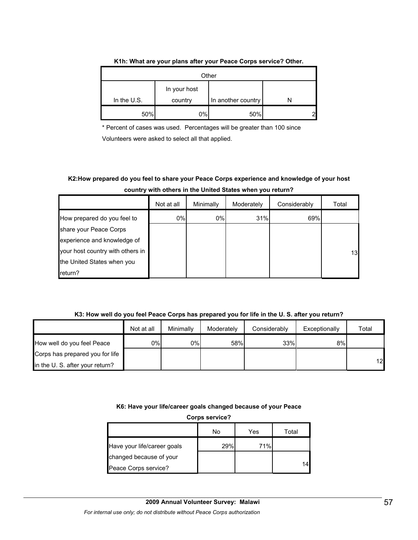|               |                         | Other              |  |
|---------------|-------------------------|--------------------|--|
| In the $U.S.$ | In your host<br>country | In another country |  |
| 50%           | $0\%$                   | 50%                |  |

#### **K1h: What are your plans after your Peace Corps service? Other.**

\* Percent of cases was used. Percentages will be greater than 100 since

Volunteers were asked to select all that applied.

## **K2:How prepared do you feel to share your Peace Corps experience and knowledge of your host country with others in the United States when you return?**

|                                  | Not at all | Minimally | Moderately | Considerably | Total |
|----------------------------------|------------|-----------|------------|--------------|-------|
| How prepared do you feel to      | 0%         | $0\%$     | 31%        | 69%          |       |
| share your Peace Corps           |            |           |            |              |       |
| experience and knowledge of      |            |           |            |              |       |
| your host country with others in |            |           |            |              | 13    |
| the United States when you       |            |           |            |              |       |
| return?                          |            |           |            |              |       |

#### **K3: How well do you feel Peace Corps has prepared you for life in the U. S. after you return?**

|                                 | Not at all | Minimally | Moderately | Considerably | Exceptionally | Total |
|---------------------------------|------------|-----------|------------|--------------|---------------|-------|
| How well do you feel Peace      | 0%l        | 0%        | 58%        | 33%          | 8%            |       |
| Corps has prepared you for life |            |           |            |              |               |       |
| in the U. S. after your return? |            |           |            |              |               | 12    |

## **K6: Have your life/career goals changed because of your Peace**

**Corps service?**

|                             | No  | Yes | Total |
|-----------------------------|-----|-----|-------|
| Have your life/career goals | 29% | 71% |       |
| changed because of your     |     |     |       |
| Peace Corps service?        |     |     |       |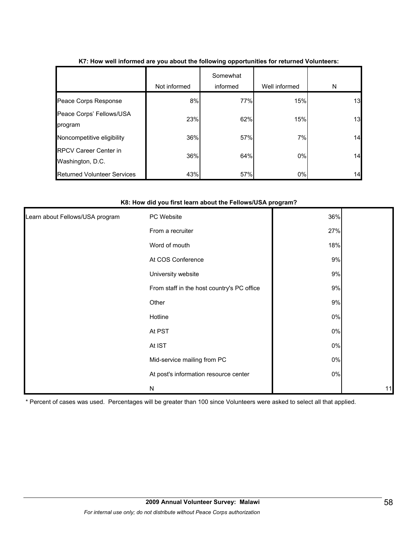|                                                  | Not informed | Somewhat<br>informed | Well informed | N  |
|--------------------------------------------------|--------------|----------------------|---------------|----|
| Peace Corps Response                             | 8%           | 77%                  | 15%           | 13 |
| Peace Corps' Fellows/USA<br>program              | 23%          | 62%                  | 15%           | 13 |
| Noncompetitive eligibility                       | 36%          | 57%                  | 7%            | 14 |
| <b>RPCV Career Center in</b><br>Washington, D.C. | 36%          | 64%                  | $0\%$         | 14 |
| <b>Returned Volunteer Services</b>               | 43%          | 57%                  | 0%            | 14 |

## **K7: How well informed are you about the following opportunities for returned Volunteers:**

#### **K8: How did you first learn about the Fellows/USA program?**

| Learn about Fellows/USA program | PC Website                                 | 36%   |    |
|---------------------------------|--------------------------------------------|-------|----|
|                                 | From a recruiter                           | 27%   |    |
|                                 | Word of mouth                              | 18%   |    |
|                                 | At COS Conference                          | 9%    |    |
|                                 | University website                         | 9%    |    |
|                                 | From staff in the host country's PC office | 9%    |    |
|                                 | Other                                      | 9%    |    |
|                                 | Hotline                                    | $0\%$ |    |
|                                 | At PST                                     | $0\%$ |    |
|                                 | At IST                                     | $0\%$ |    |
|                                 | Mid-service mailing from PC                | $0\%$ |    |
|                                 | At post's information resource center      | $0\%$ |    |
|                                 | N                                          |       | 11 |

\* Percent of cases was used. Percentages will be greater than 100 since Volunteers were asked to select all that applied.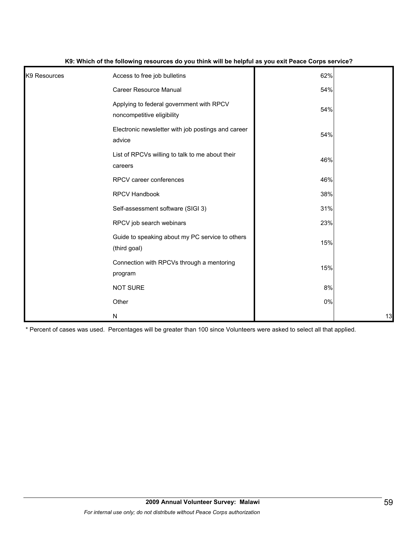| K9 Resources | Access to free job bulletins                                           | 62% |    |
|--------------|------------------------------------------------------------------------|-----|----|
|              | Career Resource Manual                                                 | 54% |    |
|              | Applying to federal government with RPCV<br>noncompetitive eligibility | 54% |    |
|              | Electronic newsletter with job postings and career<br>advice           | 54% |    |
|              | List of RPCVs willing to talk to me about their<br>careers             | 46% |    |
|              | RPCV career conferences                                                | 46% |    |
|              | RPCV Handbook                                                          | 38% |    |
|              | Self-assessment software (SIGI 3)                                      | 31% |    |
|              | RPCV job search webinars                                               | 23% |    |
|              | Guide to speaking about my PC service to others<br>(third goal)        | 15% |    |
|              | Connection with RPCVs through a mentoring<br>program                   | 15% |    |
|              | <b>NOT SURE</b>                                                        | 8%  |    |
|              | Other                                                                  | 0%  |    |
|              | N                                                                      |     | 13 |

#### **K9: Which of the following resources do you think will be helpful as you exit Peace Corps service?**

\* Percent of cases was used. Percentages will be greater than 100 since Volunteers were asked to select all that applied.